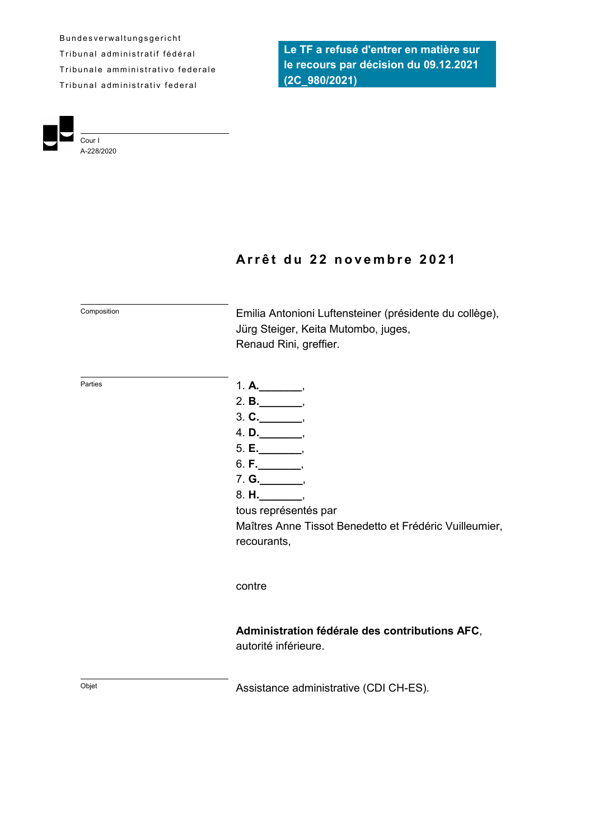B und e s v e r walt ungsgericht Tribunal administratif fédéral Tribunale amministrativo federale Tribunal administrativ federal

Cour I A-228/2020 **Le TF a refusé d'entrer en matière sur le recours par décision du 09.12.2021 (2C\_980/2021)**

# **A r r ê t d u 2 2 n o v e m b r e 2 0 2 1**

Composition Emilia Antonioni Luftensteiner (présidente du collège), Jürg Steiger, Keita Mutombo, juges, Renaud Rini, greffier.

- Parties **1. A.**\_\_\_\_\_\_\_\_,
	- 2. **B.\_\_\_\_\_\_\_**,
	- 3. **C.\_\_\_\_\_\_\_**,
	- 4. **D.\_\_\_\_\_\_\_**,
	- 5. **E.\_\_\_\_\_\_\_**,
	- 6. **F.\_\_\_\_\_\_\_**,
	- 7. **G.\_\_\_\_\_\_\_**,
	- 8. **H.\_\_\_\_\_\_\_**,

tous représentés par

Maîtres Anne Tissot Benedetto et Frédéric Vuilleumier, recourants,

#### contre

**Administration fédérale des contributions AFC**,

autorité inférieure.

Objet **CDI CH-ES**).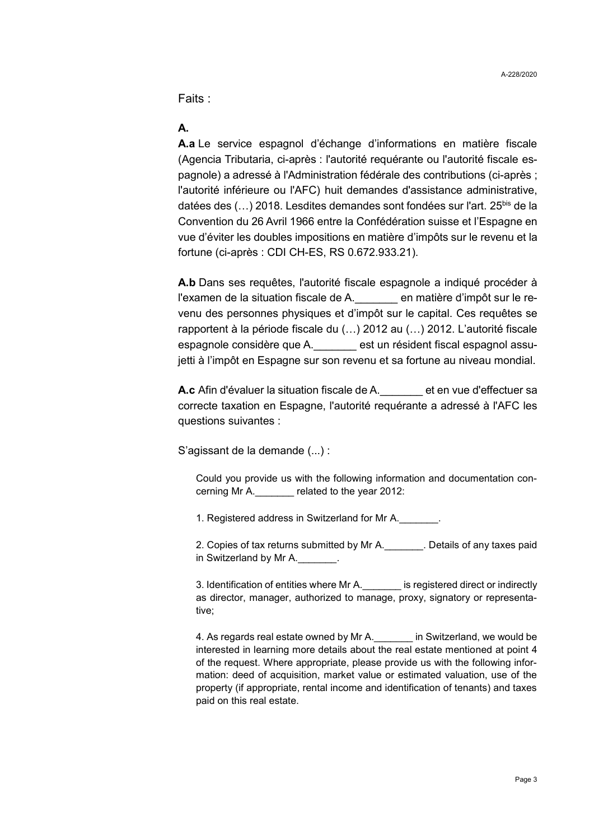Faits :

# **A.**

**A.a** Le service espagnol d'échange d'informations en matière fiscale (Agencia Tributaria, ci-après : l'autorité requérante ou l'autorité fiscale espagnole) a adressé à l'Administration fédérale des contributions (ci-après ; l'autorité inférieure ou l'AFC) huit demandes d'assistance administrative, datées des (...) 2018. Lesdites demandes sont fondées sur l'art. 25<sup>bis</sup> de la Convention du 26 Avril 1966 entre la Confédération suisse et l'Espagne en vue d'éviter les doubles impositions en matière d'impôts sur le revenu et la fortune (ci-après : CDI CH-ES, RS 0.672.933.21).

**A.b** Dans ses requêtes, l'autorité fiscale espagnole a indiqué procéder à l'examen de la situation fiscale de A.\_\_\_\_\_\_\_ en matière d'impôt sur le revenu des personnes physiques et d'impôt sur le capital. Ces requêtes se rapportent à la période fiscale du (…) 2012 au (…) 2012. L'autorité fiscale espagnole considère que A.\_\_\_\_\_\_\_ est un résident fiscal espagnol assujetti à l'impôt en Espagne sur son revenu et sa fortune au niveau mondial.

<span id="page-2-0"></span>**A.c** Afin d'évaluer la situation fiscale de A.\_\_\_\_\_\_\_ et en vue d'effectuer sa correcte taxation en Espagne, l'autorité requérante a adressé à l'AFC les questions suivantes :

S'agissant de la demande (...) :

Could you provide us with the following information and documentation concerning Mr A.\_\_\_\_\_\_\_ related to the year 2012:

1. Registered address in Switzerland for Mr A.\_\_\_\_\_\_\_.

2. Copies of tax returns submitted by Mr A.\_\_\_\_\_\_\_. Details of any taxes paid in Switzerland by Mr A.

3. Identification of entities where Mr A. The secal stead direct or indirectly as director, manager, authorized to manage, proxy, signatory or representative;

4. As regards real estate owned by Mr A. <br>in Switzerland, we would be interested in learning more details about the real estate mentioned at point 4 of the request. Where appropriate, please provide us with the following information: deed of acquisition, market value or estimated valuation, use of the property (if appropriate, rental income and identification of tenants) and taxes paid on this real estate.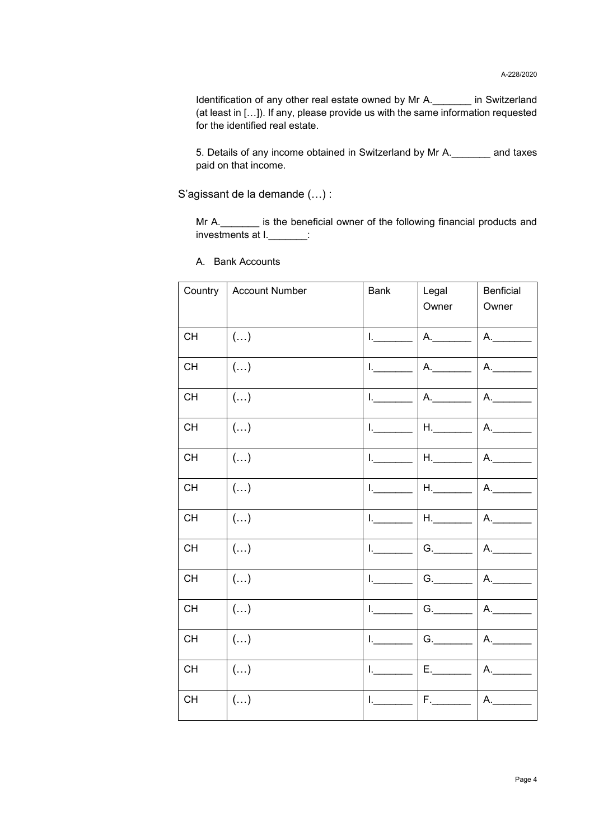Identification of any other real estate owned by Mr A.\_\_\_\_\_\_\_ in Switzerland (at least in […]). If any, please provide us with the same information requested for the identified real estate.

5. Details of any income obtained in Switzerland by Mr A.\_\_\_\_\_\_\_ and taxes paid on that income.

S'agissant de la demande (…) :

Mr A.\_\_\_\_\_\_\_ is the beneficial owner of the following financial products and investments at I. The control of the set of the set of the set of the set of the set of the set of the set of t

| Country   | <b>Account Number</b>   | <b>Bank</b>  | Legal<br>Owner              | Benficial<br>Owner |
|-----------|-------------------------|--------------|-----------------------------|--------------------|
| <b>CH</b> | $(\ldots)$              | $L_{\perp}$  | A.                          | A.                 |
| <b>CH</b> | $\left( \ldots \right)$ | Letters      | A.                          | A.                 |
| <b>CH</b> | $\left( \ldots \right)$ | Letter and   | A.                          | A.                 |
| <b>CH</b> | $\left( \ldots \right)$ | Letter and   | $H_{\cdot}$                 | A.                 |
| <b>CH</b> | $(\ldots)$              | Letter and   | $H_{\cdot}$                 | A.                 |
| CH        | $(\ldots)$              | Letter and   | $H_{\cdot}$                 | A.                 |
| <b>CH</b> | $(\ldots)$              | Letter and   | $H_{\rm c}$ and $H_{\rm c}$ | A.                 |
| <b>CH</b> | $\left( \ldots \right)$ | Letter the   | G.                          | A.                 |
| <b>CH</b> | $(\ldots)$              | $L = -$      | G.                          | A.                 |
| <b>CH</b> | $\left( \ldots \right)$ | $L =$        | G.                          | A.                 |
| CH        | $(\ldots)$              | La Carlo     | G.                          | A.                 |
| <b>CH</b> | $\left( \ldots \right)$ | $\mathbf{L}$ | $E_{\rm c}$ and $E_{\rm c}$ | A.                 |
| <b>CH</b> | $\left( \ldots \right)$ | Letter and   | $F_{\cdot}$                 | A.                 |

A. Bank Accounts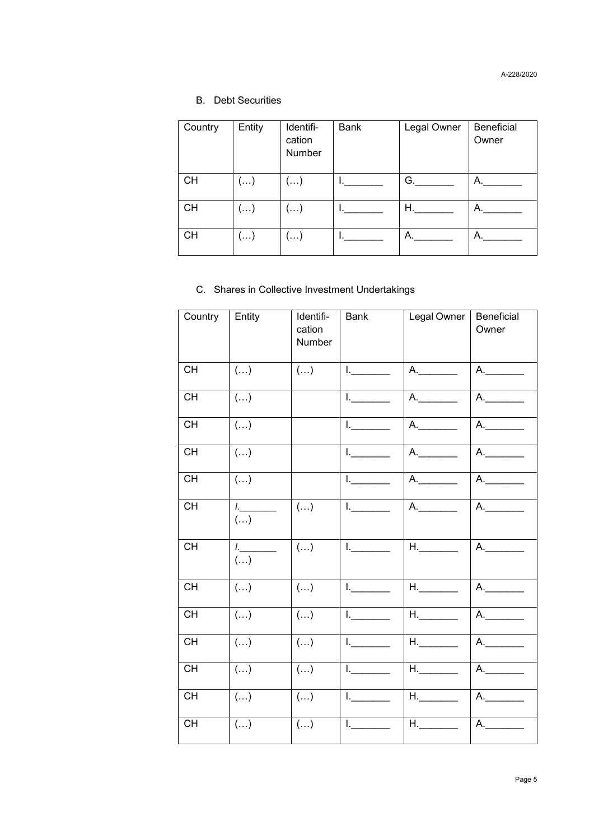### B. Debt Securities

| Country   | Entity                  | Identifi-<br>cation<br>Number | Bank | Legal Owner | Beneficial<br>Owner |
|-----------|-------------------------|-------------------------------|------|-------------|---------------------|
| <b>CH</b> | $\left( \ldots \right)$ | $\left( \ldots \right)$       |      | G.          | А.                  |
| <b>CH</b> | $\left( \ldots \right)$ | $(\ldots)$                    |      | Η.          | А.                  |
| <b>CH</b> | ()                      | $(\ldots)$                    |      | А.          | А.                  |

### C. Shares in Collective Investment Undertakings

| Country   | Entity                                             | Identifi-<br>cation<br>Number | <b>Bank</b>                                                                                                                                                                                                                                                                                                                                                                                           | Legal Owner                 | Beneficial<br>Owner |
|-----------|----------------------------------------------------|-------------------------------|-------------------------------------------------------------------------------------------------------------------------------------------------------------------------------------------------------------------------------------------------------------------------------------------------------------------------------------------------------------------------------------------------------|-----------------------------|---------------------|
| <b>CH</b> | $(\ldots)$                                         | $(\ldots)$                    | $\begin{picture}(20,20) \put(0,0){\dashbox{0.5}(5,0){ }} \put(15,0){\circle{10}} \put(15,0){\circle{10}} \put(15,0){\circle{10}} \put(15,0){\circle{10}} \put(15,0){\circle{10}} \put(15,0){\circle{10}} \put(15,0){\circle{10}} \put(15,0){\circle{10}} \put(15,0){\circle{10}} \put(15,0){\circle{10}} \put(15,0){\circle{10}} \put(15,0){\circle{10}} \put(15,0){\circle{10}} \put(15,0$           | A.                          | A.                  |
| <b>CH</b> | $(\ldots)$                                         |                               | $\begin{picture}(20,20) \put(0,0){\dashbox{0.5}(5,0){ }} \put(15,0){\circle{10}} \put(15,0){\circle{10}} \put(15,0){\circle{10}} \put(15,0){\circle{10}} \put(15,0){\circle{10}} \put(15,0){\circle{10}} \put(15,0){\circle{10}} \put(15,0){\circle{10}} \put(15,0){\circle{10}} \put(15,0){\circle{10}} \put(15,0){\circle{10}} \put(15,0){\circle{10}} \put(15,0){\circle{10}} \put(15,0$           | A.                          | A.                  |
| <b>CH</b> | $\left( \ldots \right)$                            |                               | $\begin{picture}(20,20) \put(0,0){\dashbox{0.5}(5,0){ }} \put(15,0){\circle{10}} \put(15,0){\circle{10}} \put(15,0){\circle{10}} \put(15,0){\circle{10}} \put(15,0){\circle{10}} \put(15,0){\circle{10}} \put(15,0){\circle{10}} \put(15,0){\circle{10}} \put(15,0){\circle{10}} \put(15,0){\circle{10}} \put(15,0){\circle{10}} \put(15,0){\circle{10}} \put(15,0){\circle{10}} \put(15,0$           | A.                          | A.                  |
| <b>CH</b> | $\left( \ldots \right)$                            |                               | Letter and                                                                                                                                                                                                                                                                                                                                                                                            | A.                          | A.                  |
| <b>CH</b> | $(\ldots)$                                         |                               | $L_{\underbrace{\hspace{1.5cm}}$                                                                                                                                                                                                                                                                                                                                                                      | A.                          | A.                  |
| <b>CH</b> | $L_{\perp}$ . The set of $L_{\perp}$<br>$(\ldots)$ | $(\ldots)$                    | $\begin{picture}(20,20) \put(0,0){\dashbox{0.5}(5,0){ }} \put(15,0){\dashbox{0.5}(5,0){ }} \put(25,0){\dashbox{0.5}(5,0){ }} \put(35,0){\dashbox{0.5}(5,0){ }} \put(45,0){\dashbox{0.5}(5,0){ }} \put(55,0){\dashbox{0.5}(5,0){ }} \put(65,0){\dashbox{0.5}(5,0){ }} \put(65,0){\dashbox{0.5}(5,0){ }} \put(65,0){\dashbox{0.5}(5,0){ }} \put(65,0){\dashbox{0.5}(5,0){ }}$                           | A.                          | A.                  |
| <b>CH</b> | $\mathcal{L}$<br>$(\ldots)$                        | $(\ldots)$                    | $\begin{picture}(20,20) \put(0,0){\dashbox{0.5}(5,0){ }} \put(15,0){\circle{10}} \put(25,0){\circle{10}} \put(25,0){\circle{10}} \put(25,0){\circle{10}} \put(25,0){\circle{10}} \put(25,0){\circle{10}} \put(25,0){\circle{10}} \put(25,0){\circle{10}} \put(25,0){\circle{10}} \put(25,0){\circle{10}} \put(25,0){\circle{10}} \put(25,0){\circle{10}} \put(25,0){\circle{10}} \put(25,0$           | H.                          | A.                  |
| <b>CH</b> | $\left( \ldots \right)$                            | $(\ldots)$                    | $\begin{picture}(20,20) \put(0,0){\dashbox{0.5}(5,0){ }} \put(15,0){\circle{1}} \put(25,0){\circle{1}} \put(35,0){\circle{1}} \put(45,0){\circle{1}} \put(55,0){\circle{1}} \put(55,0){\circle{1}} \put(55,0){\circle{1}} \put(55,0){\circle{1}} \put(55,0){\circle{1}} \put(55,0){\circle{1}} \put(55,0){\circle{1}} \put(55,0){\circle{1}} \put(55,0){\circle{1}} \put(55,0){\circle{1}} \put(55,0$ | $H_{\cdot}$                 | A.                  |
| <b>CH</b> | $(\ldots)$                                         | $(\ldots)$                    | $L_{\rm max}$                                                                                                                                                                                                                                                                                                                                                                                         | $H_{\rm c}$ and $H_{\rm c}$ | A.                  |
| <b>CH</b> | $\left( \ldots \right)$                            | $(\ldots)$                    | $\begin{picture}(20,20) \put(0,0){\dashbox{0.5}(5,0){ }} \put(15,0){\dashbox{0.5}(5,0){ }} \put(15,0){\dashbox{0.5}(5,0){ }} \put(15,0){\dashbox{0.5}(5,0){ }} \put(15,0){\dashbox{0.5}(5,0){ }} \put(15,0){\dashbox{0.5}(5,0){ }} \put(15,0){\dashbox{0.5}(5,0){ }} \put(15,0){\dashbox{0.5}(5,0){ }} \put(15,0){\dashbox{0.5}(5,0){ }} \put(15,0){\dashbox{0.5}(5,0){ }}$                           | $H_{\cdot}$                 | A.                  |
| <b>CH</b> | $\left( \ldots \right)$                            | $(\ldots)$                    | $\begin{picture}(20,20) \put(0,0){\dashbox{0.5}(5,0){ }} \put(15,0){\circle{1}} \put(25,0){\circle{1}} \put(35,0){\circle{1}} \put(45,0){\circle{1}} \put(55,0){\circle{1}} \put(55,0){\circle{1}} \put(55,0){\circle{1}} \put(55,0){\circle{1}} \put(55,0){\circle{1}} \put(55,0){\circle{1}} \put(55,0){\circle{1}} \put(55,0){\circle{1}} \put(55,0){\circle{1}} \put(55,0){\circle{1}} \put(55,0$ | $H_{\rm s}$ and $H_{\rm s}$ | A.                  |
| <b>CH</b> | $(\ldots)$                                         | ()                            | $\begin{picture}(20,20) \put(0,0){\dashbox{0.5}(5,0){ }} \put(15,0){\dashbox{0.5}(5,0){ }} \put(15,0){\dashbox{0.5}(5,0){ }} \put(15,0){\dashbox{0.5}(5,0){ }} \put(15,0){\dashbox{0.5}(5,0){ }} \put(15,0){\dashbox{0.5}(5,0){ }} \put(15,0){\dashbox{0.5}(5,0){ }} \put(15,0){\dashbox{0.5}(5,0){ }} \put(15,0){\dashbox{0.5}(5,0){ }} \put(15,0){\dashbox{0.5}(5,0){ }}$                           | $H_{\rm c}$ and $H_{\rm c}$ | A.                  |
| <b>CH</b> | $\left( \ldots \right)$                            | $(\ldots)$                    | $1$ .                                                                                                                                                                                                                                                                                                                                                                                                 | $H_{\rm s}$ and $H_{\rm s}$ | A.                  |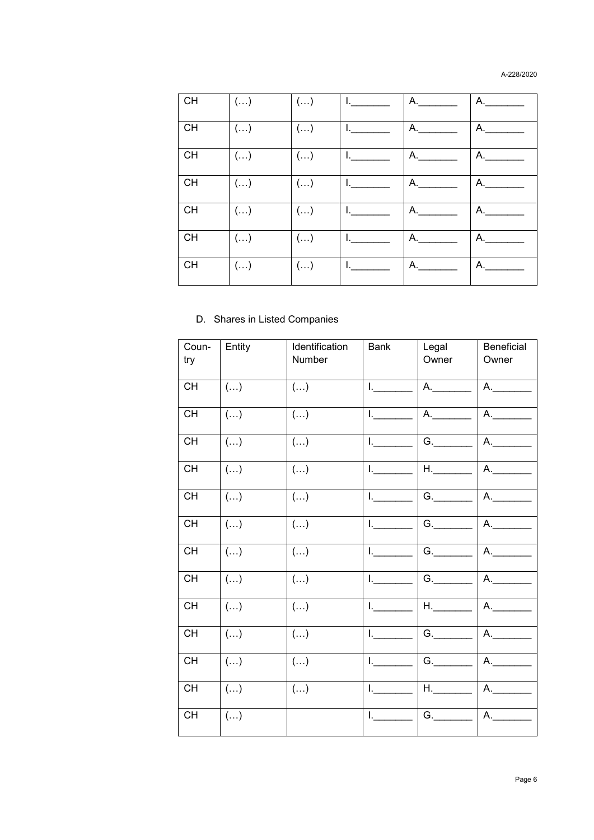#### A-228/2020

| CH        | $\left(\ldots\right)$ | $(\ldots)$            | L. | A. | А. |
|-----------|-----------------------|-----------------------|----|----|----|
| CH        | $\left(\ldots\right)$ | $\left(\ldots\right)$ | L. | А. | А. |
| <b>CH</b> | $\left(\ldots\right)$ | $\left(\ldots\right)$ | L. | А. | А. |
| CH        | $(\ldots)$            | $(\ldots)$            | L. | А. | А. |
| CH        | $\left(\ldots\right)$ | $(\ldots)$            | L. | А. | А. |
| CH        | $(\ldots)$            | $(\ldots)$            | L. | А. | А. |
| <b>CH</b> | $\left(\ldots\right)$ | $(\ldots)$            | L. | А. | А. |

### D. Shares in Listed Companies

| Coun-<br>try | Entity                  | Identification<br>Number | <b>Bank</b>             | Legal<br>Owner              | Beneficial<br>Owner |
|--------------|-------------------------|--------------------------|-------------------------|-----------------------------|---------------------|
| CH           | $(\ldots)$              | $(\ldots)$               | $L = 1$                 | A.                          | A.                  |
| <b>CH</b>    | $(\ldots)$              | $\left( \ldots \right)$  | L.                      | $A_{\cdot}$                 | A.                  |
| <b>CH</b>    | $\left( \ldots \right)$ | $(\ldots)$               | $\mathbf{L}$            | G.                          | A.                  |
| <b>CH</b>    | $(\ldots)$              | $(\ldots)$               | $1$ <sub>--------</sub> | $H_{\rm s}$ and $H_{\rm s}$ | A.                  |
| <b>CH</b>    | $\left( \ldots \right)$ | $(\ldots)$               | $l_{\cdot}$             | G.                          | A.                  |
| <b>CH</b>    | $\left( \ldots \right)$ | $(\ldots)$               | Letters                 | G.                          | A.                  |
| CH           | $\left( \ldots \right)$ | $\left( \ldots \right)$  | $L =$                   | G.                          | A.                  |
| CH           | $\left( \ldots \right)$ | $\left( \ldots \right)$  | $L =$                   | G.                          | A.                  |
| CH           | $\left( \ldots \right)$ | $(\ldots)$               | L. Co                   | $H_{\rm s}$ and $H_{\rm s}$ | A.                  |
| CH           | $(\ldots)$              | $(\ldots)$               | $\mathbf{L}$            | G.                          | A.                  |
| <b>CH</b>    | $\left( \ldots \right)$ | $(\ldots)$               | L.                      | G.                          | A.                  |
| CH           | $\left( \ldots \right)$ | $(\ldots)$               | $L =$                   | $H_{\rm c}$ and $H_{\rm c}$ | A.                  |
| CH           | $(\ldots)$              |                          | L.                      | G.                          | А.                  |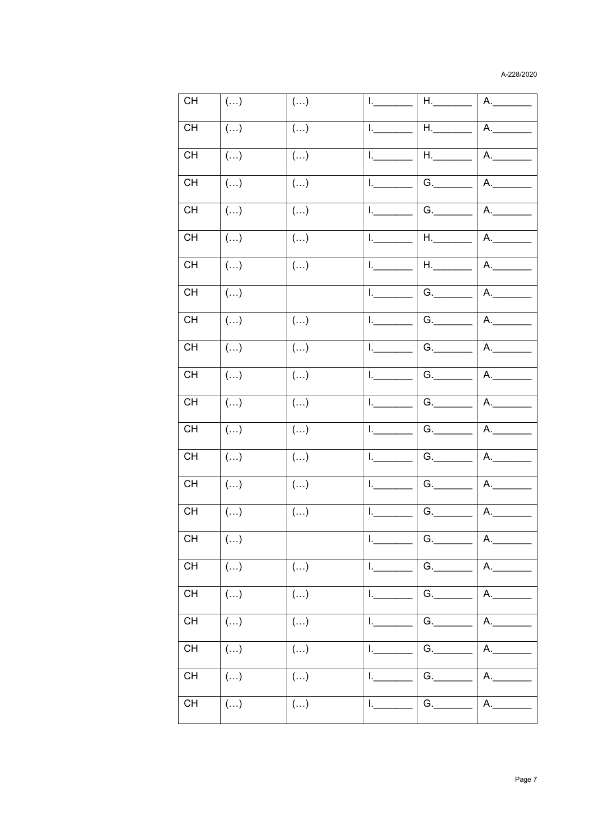#### A-228/2020

| CH                                       | $(\ldots)$              | $(\ldots)$ | L.                                                                                                                                                                                                                                                                                                                                                                                                    | H.                          | A.               |
|------------------------------------------|-------------------------|------------|-------------------------------------------------------------------------------------------------------------------------------------------------------------------------------------------------------------------------------------------------------------------------------------------------------------------------------------------------------------------------------------------------------|-----------------------------|------------------|
| <b>CH</b>                                | $\left( \ldots \right)$ | $(\ldots)$ | $\begin{picture}(20,20) \put(0,0){\dashbox{0.5}(5,0){ }} \put(15,0){\dashbox{0.5}(5,0){ }} \put(15,0){\dashbox{0.5}(5,0){ }} \put(15,0){\dashbox{0.5}(5,0){ }} \put(15,0){\dashbox{0.5}(5,0){ }} \put(15,0){\dashbox{0.5}(5,0){ }} \put(15,0){\dashbox{0.5}(5,0){ }} \put(15,0){\dashbox{0.5}(5,0){ }} \put(15,0){\dashbox{0.5}(5,0){ }} \put(15,0){\dashbox{0.5}(5,0){ }}$                           | $H_{\cdot}$                 | A.               |
| CH                                       | $(\ldots)$              | $(\ldots)$ | $L =$                                                                                                                                                                                                                                                                                                                                                                                                 | $H_{\rm{max}}$              | A.               |
| <b>CH</b>                                | $(\ldots)$              | $(\ldots)$ | $L = -$                                                                                                                                                                                                                                                                                                                                                                                               | G.                          | A.               |
| CH                                       | $\left( \ldots \right)$ | ()         | $\begin{picture}(20,20) \put(0,0){\dashbox{0.5}(5,0){ }} \put(15,0){\circle{1}} \put(25,0){\circle{1}} \put(35,0){\circle{1}} \put(45,0){\circle{1}} \put(55,0){\circle{1}} \put(55,0){\circle{1}} \put(55,0){\circle{1}} \put(55,0){\circle{1}} \put(55,0){\circle{1}} \put(55,0){\circle{1}} \put(55,0){\circle{1}} \put(55,0){\circle{1}} \put(55,0){\circle{1}} \put(55,0){\circle{1}} \put(55,0$ | G.                          | A.               |
| $\mathsf{CH}% \left( \mathcal{M}\right)$ | $(\ldots)$              | ()         | $\begin{picture}(20,20) \put(0,0){\dashbox{0.5}(5,0){ }} \put(15,0){\circle{10}} \put(15,0){\circle{10}} \put(15,0){\circle{10}} \put(15,0){\circle{10}} \put(15,0){\circle{10}} \put(15,0){\circle{10}} \put(15,0){\circle{10}} \put(15,0){\circle{10}} \put(15,0){\circle{10}} \put(15,0){\circle{10}} \put(15,0){\circle{10}} \put(15,0){\circle{10}} \put(15,0){\circle{10}} \put(15,0$           | $H_{\rm c}$ and $H_{\rm c}$ | A.               |
| CH                                       | $\left( \ldots \right)$ | $(\ldots)$ | $L =$                                                                                                                                                                                                                                                                                                                                                                                                 | $H_{\rm s}$ and $H_{\rm s}$ | A.               |
| CH                                       | $(\ldots)$              |            | $L_{\perp}$                                                                                                                                                                                                                                                                                                                                                                                           | G.                          | A.               |
| <b>CH</b>                                | $(\ldots)$              | $(\ldots)$ | $\begin{picture}(20,20) \put(0,0){\dashbox{0.5}(5,0){ }} \put(15,0){\circle{10}} \put(15,0){\circle{10}} \put(15,0){\circle{10}} \put(15,0){\circle{10}} \put(15,0){\circle{10}} \put(15,0){\circle{10}} \put(15,0){\circle{10}} \put(15,0){\circle{10}} \put(15,0){\circle{10}} \put(15,0){\circle{10}} \put(15,0){\circle{10}} \put(15,0){\circle{10}} \put(15,0){\circle{10}} \put(15,0$           | G.                          | A.               |
| CH                                       | $(\ldots)$              | $(\ldots)$ | $L_{\rm{max}}$                                                                                                                                                                                                                                                                                                                                                                                        | G.                          | A.               |
| <b>CH</b>                                | $(\ldots)$              | $(\ldots)$ | $L_{\rm{max}}$                                                                                                                                                                                                                                                                                                                                                                                        | G.                          | A.               |
| CH                                       | $(\ldots)$              | $(\ldots)$ | $\mathsf{L}$                                                                                                                                                                                                                                                                                                                                                                                          | G.                          | A.               |
| CH                                       | $(\ldots)$              | $(\ldots)$ | $L =$                                                                                                                                                                                                                                                                                                                                                                                                 | G.                          | $A_{\cdot}$      |
| CH                                       | $(\ldots)$              | $(\ldots)$ | $L_{\perp}$                                                                                                                                                                                                                                                                                                                                                                                           | G.                          | A.               |
| CH                                       | $(\ldots)$              | $(\ldots)$ | $L =$                                                                                                                                                                                                                                                                                                                                                                                                 | G.                          | A.               |
| <b>CH</b>                                | $\left( \ldots \right)$ | $(\ldots)$ | Letter and                                                                                                                                                                                                                                                                                                                                                                                            | G.                          | A.               |
| CH                                       | $\overline{(\ldots)}$   |            | $\mathbf{L} =$                                                                                                                                                                                                                                                                                                                                                                                        | $\boxed{G.}$                | $\overline{A}$ . |
| $\mathsf{CH}% \left( \mathcal{M}\right)$ | ()                      | $(\ldots)$ | $\mathbf{I}$                                                                                                                                                                                                                                                                                                                                                                                          | G.                          | A.               |
| $\mathsf{CH}% \left( \mathcal{M}\right)$ | $(\ldots)$              | ()         | L.                                                                                                                                                                                                                                                                                                                                                                                                    | G.                          | A.               |
| CH                                       | $(\ldots)$              | $(\ldots)$ | $L =$                                                                                                                                                                                                                                                                                                                                                                                                 | G.                          | A.               |
| <b>CH</b>                                | $(\ldots)$              | $(\ldots)$ | $L_{\perp}$                                                                                                                                                                                                                                                                                                                                                                                           | G.                          | A.               |
| CH                                       | $(\ldots)$              | $(\ldots)$ | $L =$                                                                                                                                                                                                                                                                                                                                                                                                 | G.                          | A.               |
| <b>CH</b>                                | ()                      | $(\ldots)$ | $L =$                                                                                                                                                                                                                                                                                                                                                                                                 | G.                          | A.               |
|                                          |                         |            |                                                                                                                                                                                                                                                                                                                                                                                                       |                             |                  |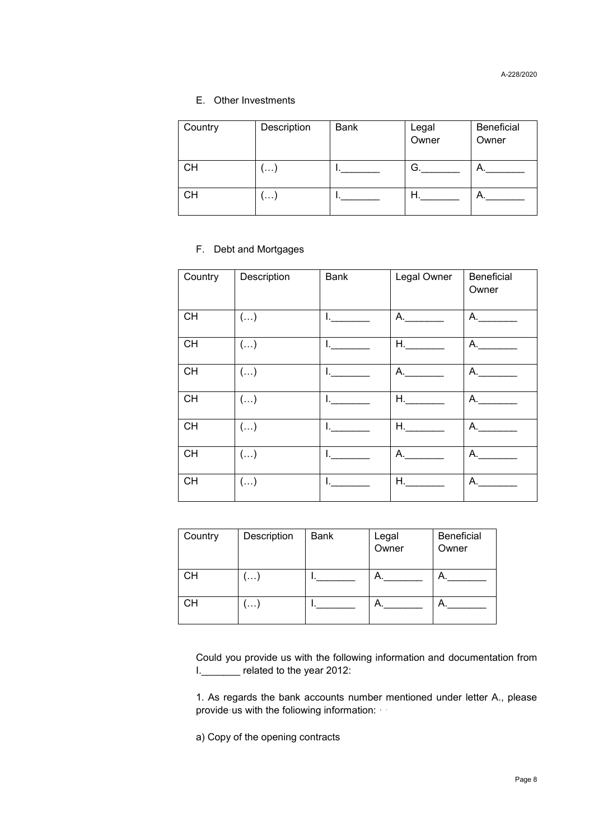### E. Other Investments

| Country   | Description | <b>Bank</b> | Legal<br>Owner | Beneficial<br>Owner |
|-----------|-------------|-------------|----------------|---------------------|
| <b>CH</b> | <b></b>     |             | G.             | А.                  |
| <b>CH</b> | <b>\</b>    |             | H.             | А.                  |

#### F. Debt and Mortgages

| Country   | Description             | <b>Bank</b>   | Legal Owner    | Beneficial<br>Owner |
|-----------|-------------------------|---------------|----------------|---------------------|
| <b>CH</b> | $(\ldots)$              | $\frac{1}{2}$ | A.             | A.                  |
| <b>CH</b> | $\left( \ldots \right)$ | l. and        | $H_{\rm{max}}$ | A.                  |
| <b>CH</b> | $\left( \ldots \right)$ | I.            | А.             | A.                  |
| CH        | $(\ldots)$              | La Cara       |                | A. $\qquad$         |
| CH        | $(\ldots)$              | L.            | H.             | A.                  |
| <b>CH</b> | $(\ldots)$              |               | А.             | A.                  |
| <b>CH</b> | $(\ldots)$              |               | H.             | А.                  |

| Country   | Description | <b>Bank</b> | Legal<br>Owner | <b>Beneficial</b><br>Owner |
|-----------|-------------|-------------|----------------|----------------------------|
| <b>CH</b> | . ا         |             | А.             | Α.                         |
| <b>CH</b> | .           |             | А.             |                            |

Could you provide us with the following information and documentation from I.\_\_\_\_\_\_\_ related to the year 2012:

1. As regards the bank accounts number mentioned under letter A., please provide us with the foliowing information:

a) Copy of the opening contracts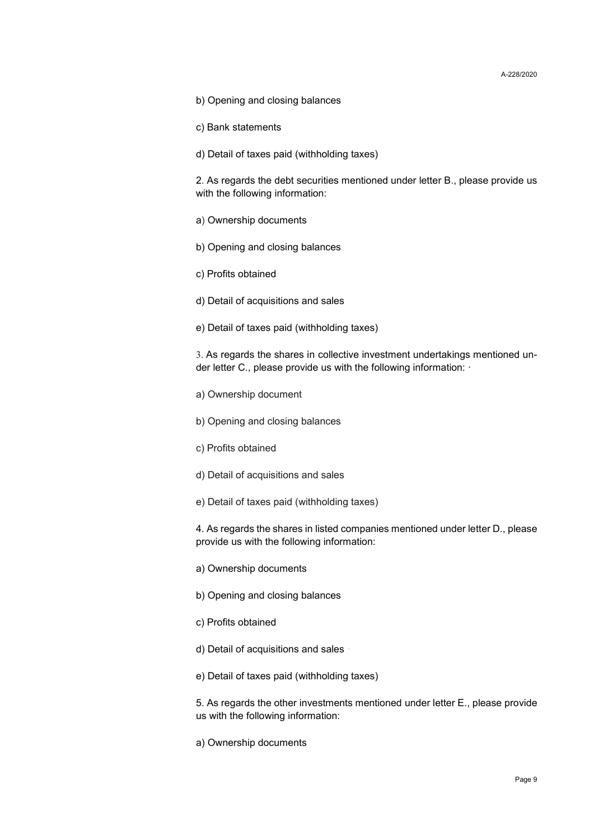- b) Opening and closing balances
- c) Bank statements
- d) Detail of taxes paid (withholding taxes)

2. As regards the debt securities mentioned under letter B., please provide us with the following information:

- a) Ownership documents
- b) Opening and closing balances
- c) Profits obtained
- d) Detail of acquisitions and sales
- e) Detail of taxes paid (withholding taxes)

3. As regards the shares in collective investment undertakings mentioned under letter C., please provide us with the following information:  $\cdot$ 

- a) Ownership document
- b) Opening and closing balances
- c) Profits obtained
- d) Detail of acquisitions and sales
- e) Detail of taxes paid (withholding taxes)

4. As regards the shares in listed companies mentioned under letter D., please provide us with the following information:

- a) Ownership documents
- b) Opening and closing balances
- c) Profits obtained
- d) Detail of acquisitions and sales
- e) Detail of taxes paid (withholding taxes)

5. As regards the other investments mentioned under letter E., please provide us with the following information:

a) Ownership documents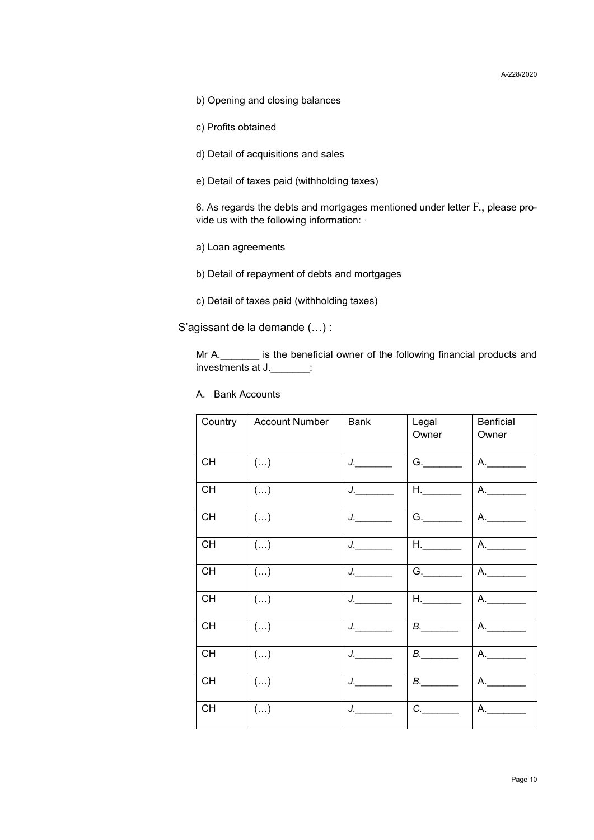b) Opening and closing balances

c) Profits obtained

d) Detail of acquisitions and sales

e) Detail of taxes paid (withholding taxes)

6. As regards the debts and mortgages mentioned under letter F., please provide us with the following information: ·

a) Loan agreements

b) Detail of repayment of debts and mortgages

c) Detail of taxes paid (withholding taxes)

S'agissant de la demande (…) :

Mr A.  $\blacksquare$  is the beneficial owner of the following financial products and investments at J.

A. Bank Accounts

| Country   | <b>Account Number</b>   | <b>Bank</b>                                                                                                                                                                                                                                                                                                                                                                                                                                                                                                                                                                                                                                                                                                                                                  | Legal<br>Owner              | Benficial<br>Owner |
|-----------|-------------------------|--------------------------------------------------------------------------------------------------------------------------------------------------------------------------------------------------------------------------------------------------------------------------------------------------------------------------------------------------------------------------------------------------------------------------------------------------------------------------------------------------------------------------------------------------------------------------------------------------------------------------------------------------------------------------------------------------------------------------------------------------------------|-----------------------------|--------------------|
| <b>CH</b> | $\left( \ldots \right)$ |                                                                                                                                                                                                                                                                                                                                                                                                                                                                                                                                                                                                                                                                                                                                                              | G.                          | A.                 |
| CH        | $(\ldots)$              | $\begin{picture}(20,20) \put(0,0){\dashbox{0.5}(5,0){ }} \put(15,0){\dashbox{0.5}(5,0){ }} \put(15,0){\dashbox{0.5}(5,0){ }} \put(15,0){\dashbox{0.5}(5,0){ }} \put(15,0){\dashbox{0.5}(5,0){ }} \put(15,0){\dashbox{0.5}(5,0){ }} \put(15,0){\dashbox{0.5}(5,0){ }} \put(15,0){\dashbox{0.5}(5,0){ }} \put(15,0){\dashbox{0.5}(5,0){ }} \put(15,0){\dashbox{0.5}(5,0){ }}$                                                                                                                                                                                                                                                                                                                                                                                  | $H_{\cdot}$                 | A.                 |
| <b>CH</b> | $(\ldots)$              | $J$ . The same $J$                                                                                                                                                                                                                                                                                                                                                                                                                                                                                                                                                                                                                                                                                                                                           | G.                          | A.                 |
| CH        | $(\ldots)$              | $J$ . The same $J$                                                                                                                                                                                                                                                                                                                                                                                                                                                                                                                                                                                                                                                                                                                                           | $H_{\cdot}$                 | A.                 |
| <b>CH</b> | $\left( \ldots \right)$ | $J$ . The same $J$                                                                                                                                                                                                                                                                                                                                                                                                                                                                                                                                                                                                                                                                                                                                           | G.                          | A.                 |
| <b>CH</b> | $(\ldots)$              | $J_{\cdot}$                                                                                                                                                                                                                                                                                                                                                                                                                                                                                                                                                                                                                                                                                                                                                  | $H_{\rm s}$ and $H_{\rm s}$ | A.                 |
| <b>CH</b> | $(\ldots)$              | $\begin{array}{c} \n \downarrow \quad \quad \downarrow \quad \quad \downarrow \quad \quad \downarrow \quad \quad \downarrow \quad \quad \downarrow \quad \quad \downarrow \quad \quad \downarrow \quad \downarrow \quad \downarrow \quad \downarrow \quad \downarrow \quad \downarrow \quad \downarrow \quad \downarrow \quad \downarrow \quad \downarrow \quad \downarrow \quad \downarrow \quad \downarrow \quad \downarrow \quad \downarrow \quad \downarrow \quad \downarrow \quad \downarrow \quad \downarrow \quad \downarrow \quad \downarrow \quad \downarrow \quad \downarrow \quad \downarrow \quad \downarrow \quad \downarrow \quad \downarrow \quad \downarrow \quad \downarrow \quad \downarrow \quad \downarrow \quad \downarrow \quad \down$ | B.                          | A.                 |
| CH        | $\left( \ldots \right)$ | J. Den state the state of the state of the state of the state of the state of the state of the state of the state of the state of the state of the state of the state of the state of the state of the state of the state of t                                                                                                                                                                                                                                                                                                                                                                                                                                                                                                                               | B.                          |                    |
| CH        | $\left( \ldots \right)$ | $J$ . The contract of $J$                                                                                                                                                                                                                                                                                                                                                                                                                                                                                                                                                                                                                                                                                                                                    | $B_{\cdot}$                 | A.                 |
| <b>CH</b> | $\left( \ldots \right)$ | $J$ . The same $J$                                                                                                                                                                                                                                                                                                                                                                                                                                                                                                                                                                                                                                                                                                                                           | C.                          | A.                 |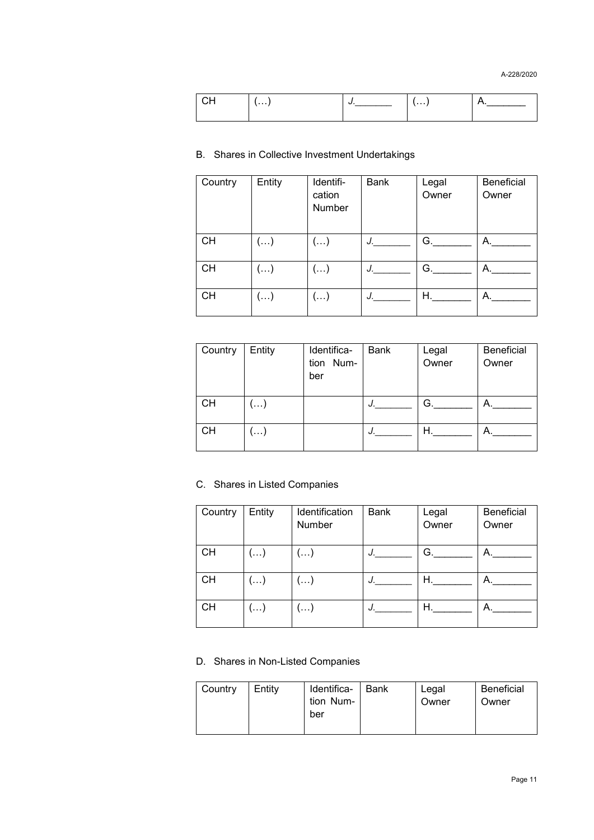| . | . |  |
|---|---|--|
|   |   |  |

### B. Shares in Collective Investment Undertakings

| Country   | Entity                  | Identifi-<br>cation<br>Number | Bank        | Legal<br>Owner | Beneficial<br>Owner |
|-----------|-------------------------|-------------------------------|-------------|----------------|---------------------|
| <b>CH</b> | $\left( \ldots \right)$ | $\left( \ldots \right)$       | $J_{\perp}$ | G.             | А.                  |
| <b>CH</b> | $(\ldots)$              | $\left( \ldots \right)$       | J.          | G.             | А.                  |
| <b>CH</b> | $(\ldots)$              | $(\ldots)$                    | J.          | Η.             | А.                  |

| Country   | Entity | Identifica-<br>tion Num-<br>ber | <b>Bank</b> | Legal<br>Owner | <b>Beneficial</b><br>Owner |
|-----------|--------|---------------------------------|-------------|----------------|----------------------------|
| <b>CH</b> | . )    |                                 | J.          | G.             | А.                         |
| CН        | . )    |                                 | J.          | Η.             | А.                         |

### C. Shares in Listed Companies

| Country   | Entity | Identification<br>Number | <b>Bank</b> | Legal<br>Owner | <b>Beneficial</b><br>Owner |
|-----------|--------|--------------------------|-------------|----------------|----------------------------|
| <b>CH</b> | . )    | $(\ldots)$               | J.          | G.             | А.                         |
| <b>CH</b> | ()     | $(\ldots)$               | J.          | Η.             | А.                         |
| CН        | . )    | $(\ldots)$               | J.          | Н.             | А.                         |

D. Shares in Non-Listed Companies

| Country | Entity | Identifica-<br>tion Num-<br>ber | Bank | Legal<br>Owner | <b>Beneficial</b><br>Owner |
|---------|--------|---------------------------------|------|----------------|----------------------------|
|---------|--------|---------------------------------|------|----------------|----------------------------|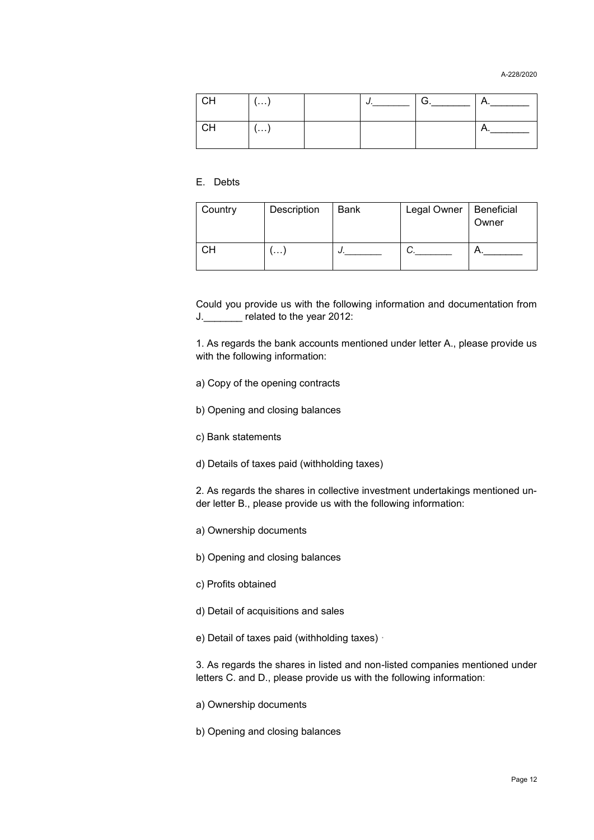A-228/2020

|    | $\cdots$ |  |     |
|----|----------|--|-----|
| CН |          |  | . . |

### E. Debts

| Country | Description | Bank | Legal Owner | Beneficial<br>Owner |
|---------|-------------|------|-------------|---------------------|
| CН      | $\cdots$    | J.   |             |                     |

Could you provide us with the following information and documentation from J.\_\_\_\_\_\_\_ related to the year 2012:

1. As regards the bank accounts mentioned under letter A., please provide us with the following information:

- a) Copy of the opening contracts
- b) Opening and closing balances
- c) Bank statements
- d) Details of taxes paid (withholding taxes)

2. As regards the shares in collective investment undertakings mentioned under letter B., please provide us with the following information:

- a) Ownership documents
- b) Opening and closing balances
- c) Profits obtained
- d) Detail of acquisitions and sales
- e) Detail of taxes paid (withholding taxes) ·

3. As regards the shares in listed and non-listed companies mentioned under letters C. and D., please provide us with the following information:

- a) Ownership documents
- b) Opening and closing balances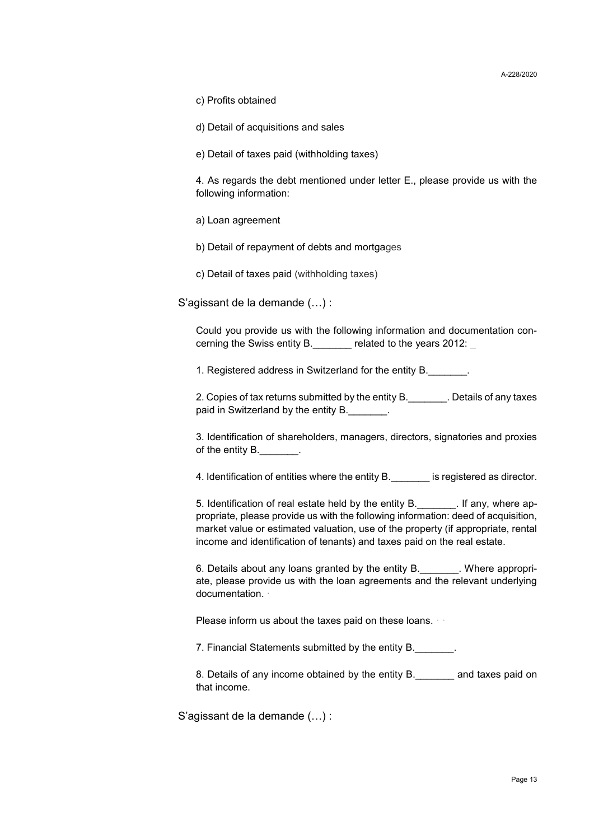c) Profits obtained

d) Detail of acquisitions and sales

e) Detail of taxes paid (withholding taxes)

4. As regards the debt mentioned under letter E., please provide us with the following information:

a) Loan agreement

b) Detail of repayment of debts and mortgages

c) Detail of taxes paid (withholding taxes)

S'agissant de la demande (…) :

Could you provide us with the following information and documentation concerning the Swiss entity B. The related to the years 2012:

1. Registered address in Switzerland for the entity B.

2. Copies of tax returns submitted by the entity B.\_\_\_\_\_\_\_. Details of any taxes paid in Switzerland by the entity B.

3. Identification of shareholders, managers, directors, signatories and proxies of the entity B.

4. Identification of entities where the entity B. The registered as director.

5. Identification of real estate held by the entity B.\_\_\_\_\_\_\_. If any, where appropriate, please provide us with the following information: deed of acquisition, market value or estimated valuation, use of the property (if appropriate, rental income and identification of tenants) and taxes paid on the real estate.

6. Details about any loans granted by the entity B.\_\_\_\_\_\_\_. Where appropriate, please provide us with the loan agreements and the relevant underlying documentation. ·

Please inform us about the taxes paid on these loans.

7. Financial Statements submitted by the entity B.

8. Details of any income obtained by the entity B. The and taxes paid on that income.

S'agissant de la demande (…) :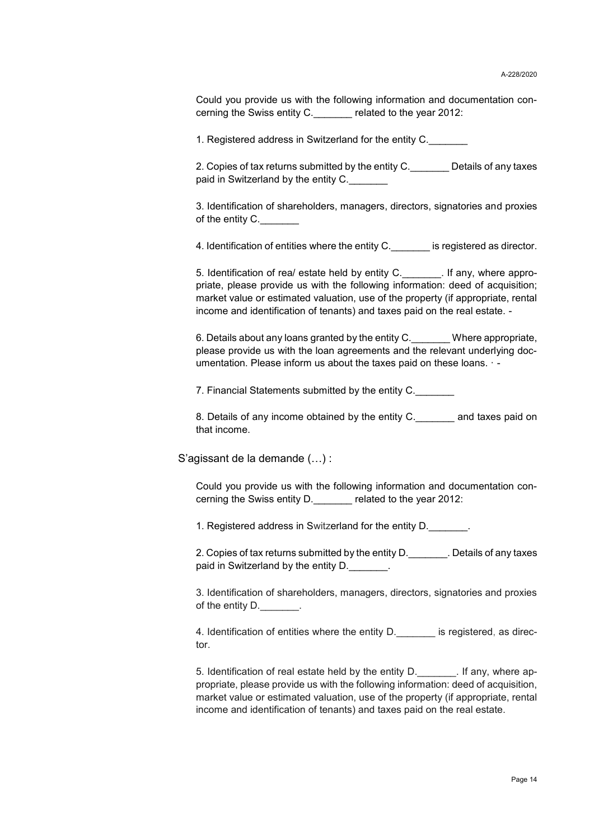Could you provide us with the following information and documentation concerning the Swiss entity C.\_\_\_\_\_\_\_ related to the year 2012:

1. Registered address in Switzerland for the entity C.

2. Copies of tax returns submitted by the entity C. Details of any taxes paid in Switzerland by the entity C.

3. Identification of shareholders, managers, directors, signatories and proxies of the entity  $C$ .

4. Identification of entities where the entity C. The signification is registered as director.

5. Identification of rea/ estate held by entity C.\_\_\_\_\_\_\_. If any, where appropriate, please provide us with the following information: deed of acquisition; market value or estimated valuation, use of the property (if appropriate, rental income and identification of tenants) and taxes paid on the real estate. -

6. Details about any loans granted by the entity C.\_\_\_\_\_\_\_ Where appropriate, please provide us with the loan agreements and the relevant underlying documentation. Please inform us about the taxes paid on these loans. · -

7. Financial Statements submitted by the entity C.

8. Details of any income obtained by the entity C.\_\_\_\_\_\_\_ and taxes paid on that income.

S'agissant de la demande (…) :

Could you provide us with the following information and documentation concerning the Swiss entity D.\_\_\_\_\_\_\_ related to the year 2012:

1. Registered address in Switzerland for the entity D.

2. Copies of tax returns submitted by the entity D.\_\_\_\_\_\_\_. Details of any taxes paid in Switzerland by the entity D.

3. Identification of shareholders, managers, directors, signatories and proxies of the entity D.

4. Identification of entities where the entity D. \_\_\_\_\_\_\_ is registered, as director.

5. Identification of real estate held by the entity D.\_\_\_\_\_\_\_. If any, where appropriate, please provide us with the following information: deed of acquisition, market value or estimated valuation, use of the property (if appropriate, rental income and identification of tenants) and taxes paid on the real estate.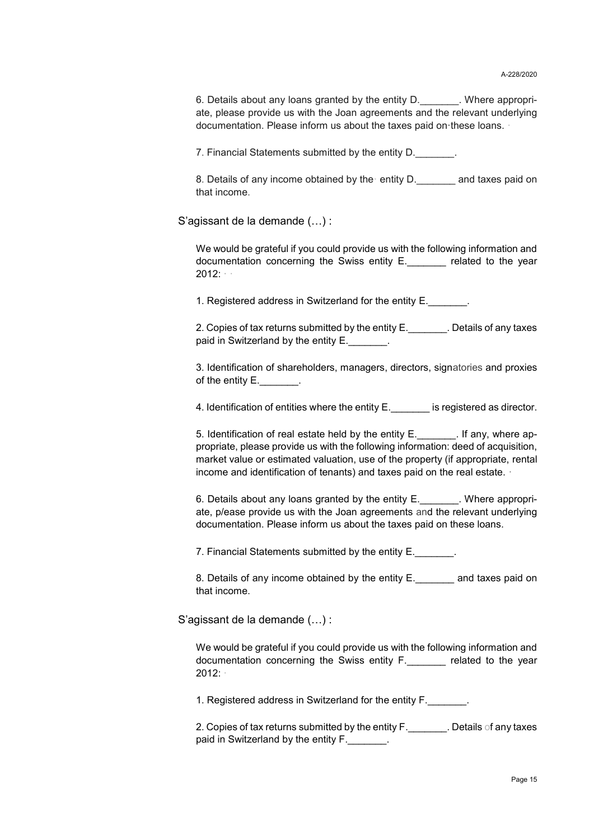6. Details about any loans granted by the entity D. There appropriate, please provide us with the Joan agreements and the relevant underlying documentation. Please inform us about the taxes paid on·these loans. ·

7. Financial Statements submitted by the entity D.

8. Details of any income obtained by the entity D. The and taxes paid on that income.

S'agissant de la demande (…) :

We would be grateful if you could provide us with the following information and documentation concerning the Swiss entity E. The related to the year 2012: · ·

1. Registered address in Switzerland for the entity E.

2. Copies of tax returns submitted by the entity E. Corporalled any taxes paid in Switzerland by the entity E.

3. Identification of shareholders, managers, directors, signatories and proxies of the entity  $E$ .

4. Identification of entities where the entity E.\_\_\_\_\_\_\_ is registered as director.

5. Identification of real estate held by the entity E. The any, where appropriate, please provide us with the following information: deed of acquisition, market value or estimated valuation, use of the property (if appropriate, rental income and identification of tenants) and taxes paid on the real estate. ·

6. Details about any loans granted by the entity E.\_\_\_\_\_\_\_. Where appropriate, p/ease provide us with the Joan agreements and the relevant underlying documentation. Please inform us about the taxes paid on these loans.

7. Financial Statements submitted by the entity E.

8. Details of any income obtained by the entity E.\_\_\_\_\_\_\_ and taxes paid on that income.

S'agissant de la demande (…) :

We would be grateful if you could provide us with the following information and documentation concerning the Swiss entity F.\_\_\_\_\_\_\_ related to the year 2012: ·

1. Registered address in Switzerland for the entity F.

2. Copies of tax returns submitted by the entity F. The Latils of any taxes paid in Switzerland by the entity F.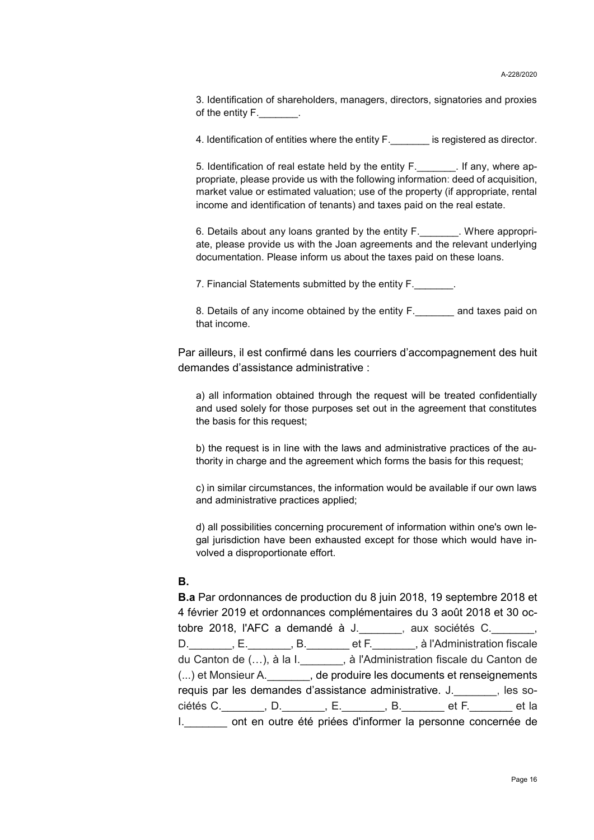3. Identification of shareholders, managers, directors, signatories and proxies of the entity F.

4. Identification of entities where the entity F. The second is registered as director.

5. Identification of real estate held by the entity F. The lang of the requirement of the state of the state h propriate, please provide us with the following information: deed of acquisition, market value or estimated valuation; use of the property (if appropriate, rental income and identification of tenants) and taxes paid on the real estate.

6. Details about any loans granted by the entity F. The Muller expropriate, please provide us with the Joan agreements and the relevant underlying documentation. Please inform us about the taxes paid on these loans.

7. Financial Statements submitted by the entity F.

8. Details of any income obtained by the entity F. and taxes paid on that income.

Par ailleurs, il est confirmé dans les courriers d'accompagnement des huit demandes d'assistance administrative :

a) all information obtained through the request will be treated confidentially and used solely for those purposes set out in the agreement that constitutes the basis for this request;

b) the request is in line with the laws and administrative practices of the authority in charge and the agreement which forms the basis for this request;

c) in similar circumstances, the information would be available if our own laws and administrative practices applied;

d) all possibilities concerning procurement of information within one's own legal jurisdiction have been exhausted except for those which would have involved a disproportionate effort.

#### **B.**

**B.a** Par ordonnances de production du 8 juin 2018, 19 septembre 2018 et 4 février 2019 et ordonnances complémentaires du 3 août 2018 et 30 octobre 2018, l'AFC a demandé à J. <br>
, aux sociétés C.  $\qquad \qquad ,$ D.\_\_\_\_\_\_\_, E.\_\_\_\_\_\_\_, B.\_\_\_\_\_\_\_ et F.\_\_\_\_\_\_\_, à l'Administration fiscale du Canton de (…), à la I.\_\_\_\_\_\_\_, à l'Administration fiscale du Canton de (...) et Monsieur A. \_\_\_\_\_\_\_, de produire les documents et renseignements requis par les demandes d'assistance administrative. J. [es sociétés C.\_\_\_\_\_\_\_, D.\_\_\_\_\_\_\_, E.\_\_\_\_\_\_\_, B.\_\_\_\_\_\_\_ et F.\_\_\_\_\_\_\_ et la I. ont en outre été priées d'informer la personne concernée de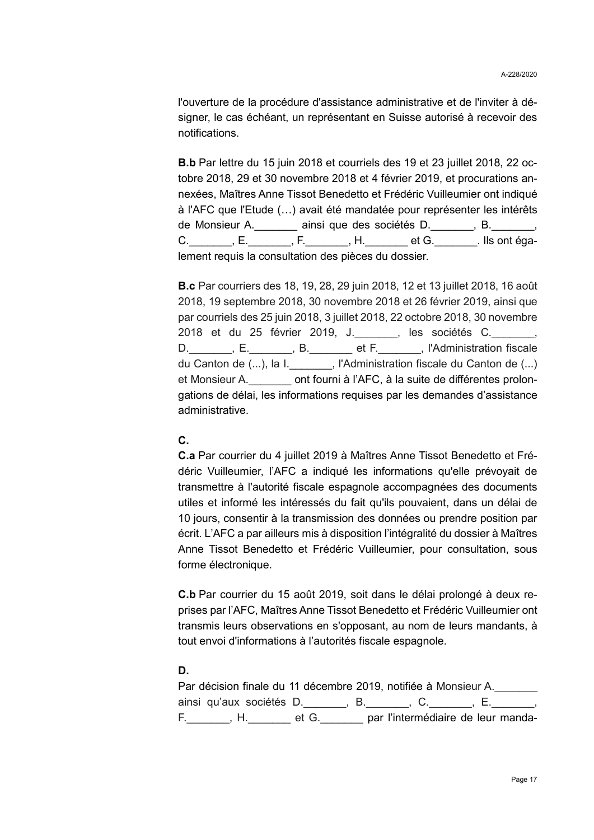l'ouverture de la procédure d'assistance administrative et de l'inviter à désigner, le cas échéant, un représentant en Suisse autorisé à recevoir des notifications.

**B.b** Par lettre du 15 juin 2018 et courriels des 19 et 23 juillet 2018, 22 octobre 2018, 29 et 30 novembre 2018 et 4 février 2019, et procurations annexées, Maîtres Anne Tissot Benedetto et Frédéric Vuilleumier ont indiqué à l'AFC que l'Etude (…) avait été mandatée pour représenter les intérêts de Monsieur A. \_\_\_\_\_\_\_ ainsi que des sociétés D. \_\_\_\_\_\_, B. \_\_\_\_\_, C. \_\_\_\_\_\_\_, E. \_\_\_\_\_\_\_, F. \_\_\_\_\_\_\_, H. \_\_\_\_\_\_\_ et G. \_\_\_\_\_\_\_. Ils ont également requis la consultation des pièces du dossier.

**B.c** Par courriers des 18, 19, 28, 29 juin 2018, 12 et 13 juillet 2018, 16 août 2018, 19 septembre 2018, 30 novembre 2018 et 26 février 2019, ainsi que par courriels des 25 juin 2018, 3 juillet 2018, 22 octobre 2018, 30 novembre .<br>2018 et du 25 février 2019, J. \_ \_ \_ , les sociétés C. \_ D. F., B. et F., Physical et F. Administration fiscale du Canton de (...), la I.\_\_\_\_\_\_\_, l'Administration fiscale du Canton de (...) et Monsieur A.\_\_\_\_\_\_\_ ont fourni à l'AFC, à la suite de différentes prolongations de délai, les informations requises par les demandes d'assistance administrative.

### **C.**

**C.a** Par courrier du 4 juillet 2019 à Maîtres Anne Tissot Benedetto et Frédéric Vuilleumier, l'AFC a indiqué les informations qu'elle prévoyait de transmettre à l'autorité fiscale espagnole accompagnées des documents utiles et informé les intéressés du fait qu'ils pouvaient, dans un délai de 10 jours, consentir à la transmission des données ou prendre position par écrit. L'AFC a par ailleurs mis à disposition l'intégralité du dossier à Maîtres Anne Tissot Benedetto et Frédéric Vuilleumier, pour consultation, sous forme électronique.

**C.b** Par courrier du 15 août 2019, soit dans le délai prolongé à deux reprises par l'AFC, Maîtres Anne Tissot Benedetto et Frédéric Vuilleumier ont transmis leurs observations en s'opposant, au nom de leurs mandants, à tout envoi d'informations à l'autorités fiscale espagnole.

### **D.**

Par décision finale du 11 décembre 2019, notifiée à Monsieur A. ainsi qu'aux sociétés D.\_\_\_\_\_\_\_, B.\_\_\_\_\_\_\_, C.\_\_\_\_\_\_\_, E.\_\_\_\_\_\_\_, F.\_\_\_\_\_\_\_, H.\_\_\_\_\_\_\_ et G.\_\_\_\_\_\_\_ par l'intermédiaire de leur manda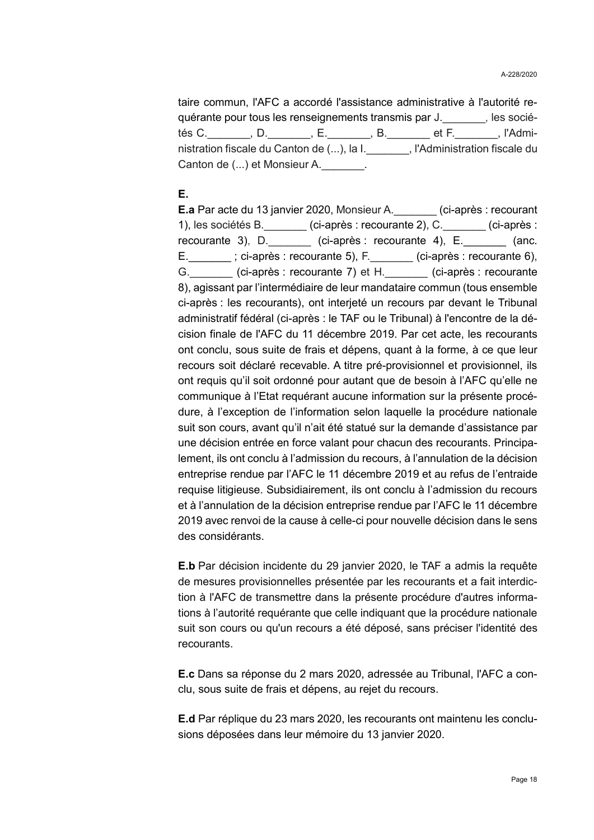taire commun, l'AFC a accordé l'assistance administrative à l'autorité requérante pour tous les renseignements transmis par J. [es sociétés C. (a.c., D. c., E. c., B. c., et F. c., l'Administration fiscale du Canton de (...), la I. [IAdministration fiscale du Canton de (...) et Monsieur A. \_\_\_\_\_\_\_.

### **E.**

**E.a** Par acte du 13 janvier 2020, Monsieur A.\_\_\_\_\_\_\_ (ci-après : recourant 1), les sociétés B.\_\_\_\_\_\_\_ (ci-après : recourante 2), C.\_\_\_\_\_\_\_ (ci-après : recourante 3), D.\_\_\_\_\_\_\_ (ci-après : recourante 4), E.\_\_\_\_\_\_\_ (anc. E.  $\vdots$ ; ci-après : recourante 5), F. (ci-après : recourante 6), G. (ci-après : recourante 7) et H. (ci-après : recourante 8), agissant par l'intermédiaire de leur mandataire commun (tous ensemble ci-après : les recourants), ont interjeté un recours par devant le Tribunal administratif fédéral (ci-après : le TAF ou le Tribunal) à l'encontre de la décision finale de l'AFC du 11 décembre 2019. Par cet acte, les recourants ont conclu, sous suite de frais et dépens, quant à la forme, à ce que leur recours soit déclaré recevable. A titre pré-provisionnel et provisionnel, ils ont requis qu'il soit ordonné pour autant que de besoin à l'AFC qu'elle ne communique à l'Etat requérant aucune information sur la présente procédure, à l'exception de l'information selon laquelle la procédure nationale suit son cours, avant qu'il n'ait été statué sur la demande d'assistance par une décision entrée en force valant pour chacun des recourants. Principalement, ils ont conclu à l'admission du recours, à l'annulation de la décision entreprise rendue par l'AFC le 11 décembre 2019 et au refus de l'entraide requise litigieuse. Subsidiairement, ils ont conclu à l'admission du recours et à l'annulation de la décision entreprise rendue par l'AFC le 11 décembre 2019 avec renvoi de la cause à celle-ci pour nouvelle décision dans le sens des considérants.

**E.b** Par décision incidente du 29 janvier 2020, le TAF a admis la requête de mesures provisionnelles présentée par les recourants et a fait interdiction à l'AFC de transmettre dans la présente procédure d'autres informations à l'autorité requérante que celle indiquant que la procédure nationale suit son cours ou qu'un recours a été déposé, sans préciser l'identité des recourants.

**E.c** Dans sa réponse du 2 mars 2020, adressée au Tribunal, l'AFC a conclu, sous suite de frais et dépens, au rejet du recours.

**E.d** Par réplique du 23 mars 2020, les recourants ont maintenu les conclusions déposées dans leur mémoire du 13 janvier 2020.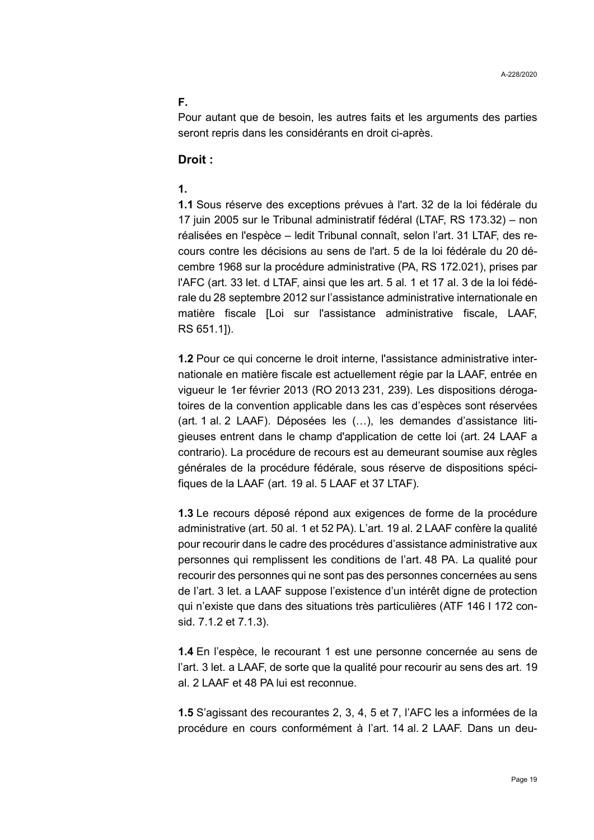### **F.**

Pour autant que de besoin, les autres faits et les arguments des parties seront repris dans les considérants en droit ci-après.

### **Droit :**

### **1.**

**1.1** Sous réserve des exceptions prévues à l'art. 32 de la loi fédérale du 17 juin 2005 sur le Tribunal administratif fédéral (LTAF, RS 173.32) – non réalisées en l'espèce – ledit Tribunal connaît, selon l'art. 31 LTAF, des recours contre les décisions au sens de l'art. 5 de la loi fédérale du 20 décembre 1968 sur la procédure administrative (PA, RS 172.021), prises par l'AFC (art. 33 let. d LTAF, ainsi que les art. 5 al. 1 et 17 al. 3 de la loi fédérale du 28 septembre 2012 sur l'assistance administrative internationale en matière fiscale [Loi sur l'assistance administrative fiscale, LAAF, RS 651.1]).

**1.2** Pour ce qui concerne le droit interne, l'assistance administrative internationale en matière fiscale est actuellement régie par la LAAF, entrée en vigueur le 1er février 2013 (RO 2013 231, 239). Les dispositions dérogatoires de la convention applicable dans les cas d'espèces sont réservées (art. 1 al. 2 LAAF). Déposées les (…), les demandes d'assistance litigieuses entrent dans le champ d'application de cette loi (art. 24 LAAF a contrario). La procédure de recours est au demeurant soumise aux règles générales de la procédure fédérale, sous réserve de dispositions spécifiques de la LAAF (art. 19 al. 5 LAAF et 37 LTAF).

**1.3** Le recours déposé répond aux exigences de forme de la procédure administrative (art. 50 al. 1 et 52 PA). L'art. 19 al. 2 LAAF confère la qualité pour recourir dans le cadre des procédures d'assistance administrative aux personnes qui remplissent les conditions de l'art. 48 PA. La qualité pour recourir des personnes qui ne sont pas des personnes concernées au sens de l'art. 3 let. a LAAF suppose l'existence d'un intérêt digne de protection qui n'existe que dans des situations très particulières (ATF 146 I 172 consid. 7.1.2 et 7.1.3).

**1.4** En l'espèce, le recourant 1 est une personne concernée au sens de l'art. 3 let. a LAAF, de sorte que la qualité pour recourir au sens des art. 19 al. 2 LAAF et 48 PA lui est reconnue.

**1.5** S'agissant des recourantes 2, 3, 4, 5 et 7, l'AFC les a informées de la procédure en cours conformément à l'art. 14 al. 2 LAAF. Dans un deu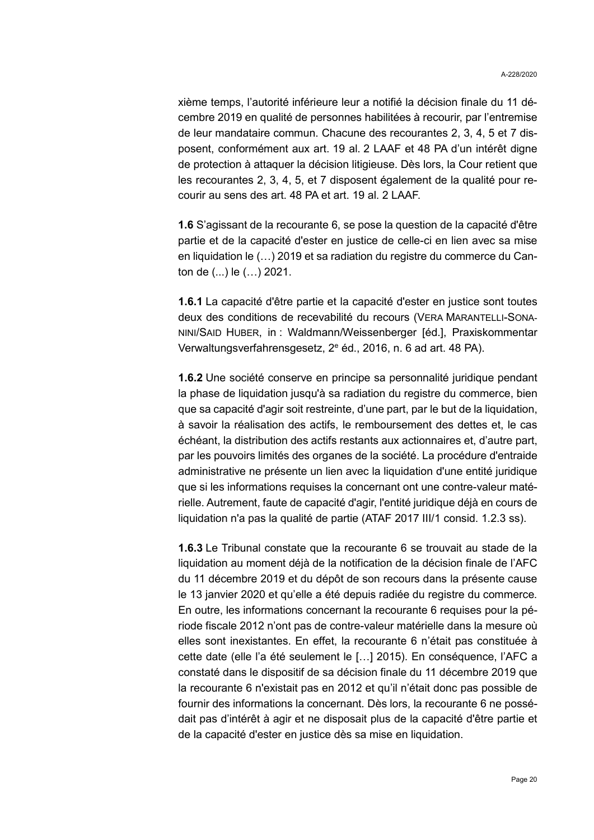xième temps, l'autorité inférieure leur a notifié la décision finale du 11 décembre 2019 en qualité de personnes habilitées à recourir, par l'entremise de leur mandataire commun. Chacune des recourantes 2, 3, 4, 5 et 7 disposent, conformément aux art. 19 al. 2 LAAF et 48 PA d'un intérêt digne de protection à attaquer la décision litigieuse. Dès lors, la Cour retient que les recourantes 2, 3, 4, 5, et 7 disposent également de la qualité pour recourir au sens des art. 48 PA et art. 19 al. 2 LAAF.

**1.6** S'agissant de la recourante 6, se pose la question de la capacité d'être partie et de la capacité d'ester en justice de celle-ci en lien avec sa mise en liquidation le (…) 2019 et sa radiation du registre du commerce du Canton de (...) le (…) 2021.

**1.6.1** La capacité d'être partie et la capacité d'ester en justice sont toutes deux des conditions de recevabilité du recours (VERA MARANTELLI-SONA-NINI/SAID HUBER, in : Waldmann/Weissenberger [éd.], Praxiskommentar Verwaltungsverfahrensgesetz, 2<sup>e</sup> éd., 2016, n. 6 ad art. 48 PA).

**1.6.2** Une société conserve en principe sa personnalité juridique pendant la phase de liquidation jusqu'à sa radiation du registre du commerce, bien que sa capacité d'agir soit restreinte, d'une part, par le but de la liquidation, à savoir la réalisation des actifs, le remboursement des dettes et, le cas échéant, la distribution des actifs restants aux actionnaires et, d'autre part, par les pouvoirs limités des organes de la société. La procédure d'entraide administrative ne présente un lien avec la liquidation d'une entité juridique que si les informations requises la concernant ont une contre-valeur matérielle. Autrement, faute de capacité d'agir, l'entité juridique déjà en cours de liquidation n'a pas la qualité de partie (ATAF 2017 III/1 consid. 1.2.3 ss).

**1.6.3** Le Tribunal constate que la recourante 6 se trouvait au stade de la liquidation au moment déjà de la notification de la décision finale de l'AFC du 11 décembre 2019 et du dépôt de son recours dans la présente cause le 13 janvier 2020 et qu'elle a été depuis radiée du registre du commerce. En outre, les informations concernant la recourante 6 requises pour la période fiscale 2012 n'ont pas de contre-valeur matérielle dans la mesure où elles sont inexistantes. En effet, la recourante 6 n'était pas constituée à cette date (elle l'a été seulement le […] 2015). En conséquence, l'AFC a constaté dans le dispositif de sa décision finale du 11 décembre 2019 que la recourante 6 n'existait pas en 2012 et qu'il n'était donc pas possible de fournir des informations la concernant. Dès lors, la recourante 6 ne possédait pas d'intérêt à agir et ne disposait plus de la capacité d'être partie et de la capacité d'ester en justice dès sa mise en liquidation.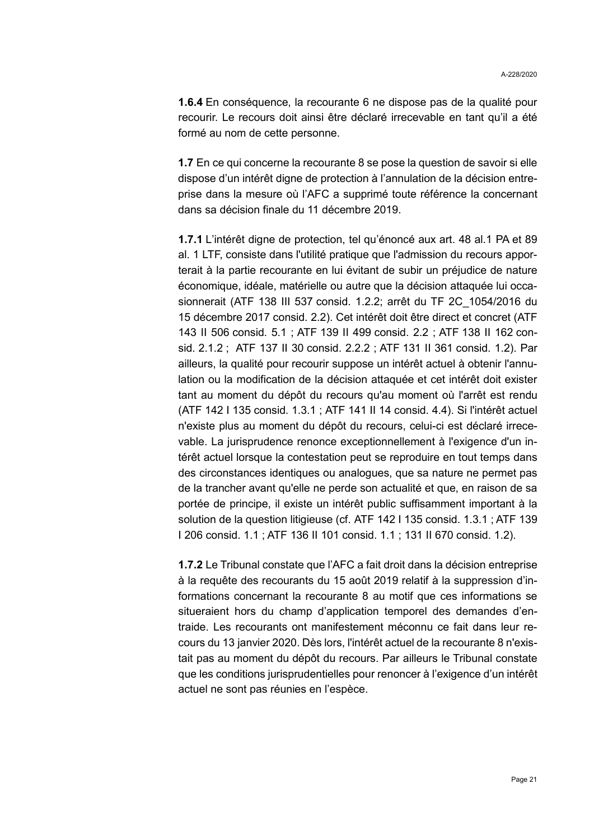**1.6.4** En conséquence, la recourante 6 ne dispose pas de la qualité pour recourir. Le recours doit ainsi être déclaré irrecevable en tant qu'il a été formé au nom de cette personne.

**1.7** En ce qui concerne la recourante 8 se pose la question de savoir si elle dispose d'un intérêt digne de protection à l'annulation de la décision entreprise dans la mesure où l'AFC a supprimé toute référence la concernant dans sa décision finale du 11 décembre 2019.

**1.7.1** L'intérêt digne de protection, tel qu'énoncé aux art. 48 al.1 PA et 89 al. 1 LTF, consiste dans l'utilité pratique que l'admission du recours apporterait à la partie recourante en lui évitant de subir un préjudice de nature économique, idéale, matérielle ou autre que la décision attaquée lui occasionnerait [\(ATF 138 III 537](https://www.bger.ch/ext/eurospider/live/fr/php/aza/http/index.php?lang=fr&type=show_document&page=1&from_date=&to_date=&sort=relevance&insertion_date=&top_subcollection_aza=all&query_words=&rank=0&azaclir=aza&highlight_docid=atf%3A%2F%2F138-III-537%3Afr&number_of_ranks=0#page537) consid. 1.2.2; arrêt du TF 2C\_1054/2016 du 15 décembre 2017 consid. 2.2). Cet intérêt doit être direct et concret [\(ATF](https://www.bger.ch/ext/eurospider/live/fr/php/aza/http/index.php?lang=fr&type=show_document&page=1&from_date=&to_date=&sort=relevance&insertion_date=&top_subcollection_aza=all&query_words=&rank=0&azaclir=aza&highlight_docid=atf%3A%2F%2F143-II-506%3Afr&number_of_ranks=0#page506)  [143 II 506](https://www.bger.ch/ext/eurospider/live/fr/php/aza/http/index.php?lang=fr&type=show_document&page=1&from_date=&to_date=&sort=relevance&insertion_date=&top_subcollection_aza=all&query_words=&rank=0&azaclir=aza&highlight_docid=atf%3A%2F%2F143-II-506%3Afr&number_of_ranks=0#page506) consid. 5.1 ; ATF [139 II 499](https://www.bger.ch/ext/eurospider/live/fr/php/aza/http/index.php?lang=fr&type=show_document&page=1&from_date=&to_date=&sort=relevance&insertion_date=&top_subcollection_aza=all&query_words=&rank=0&azaclir=aza&highlight_docid=atf%3A%2F%2F139-II-499%3Afr&number_of_ranks=0#page499) consid. 2.2 ; ATF [138 II 162](https://www.bger.ch/ext/eurospider/live/fr/php/aza/http/index.php?lang=fr&type=show_document&page=1&from_date=&to_date=&sort=relevance&insertion_date=&top_subcollection_aza=all&query_words=&rank=0&azaclir=aza&highlight_docid=atf%3A%2F%2F138-II-162%3Afr&number_of_ranks=0#page162) consid. 2.1.2 ; ATF [137 II 30](https://www.bger.ch/ext/eurospider/live/fr/php/aza/http/index.php?lang=fr&type=show_document&page=1&from_date=&to_date=&sort=relevance&insertion_date=&top_subcollection_aza=all&query_words=&rank=0&azaclir=aza&highlight_docid=atf%3A%2F%2F137-II-30%3Afr&number_of_ranks=0#page30) consid. 2.2.2 ; ATF [131 II 361](https://www.bger.ch/ext/eurospider/live/fr/php/aza/http/index.php?lang=fr&type=show_document&page=1&from_date=&to_date=&sort=relevance&insertion_date=&top_subcollection_aza=all&query_words=&rank=0&azaclir=aza&highlight_docid=atf%3A%2F%2F131-II-361%3Afr&number_of_ranks=0#page361) consid. 1.2). Par ailleurs, la qualité pour recourir suppose un intérêt actuel à obtenir l'annulation ou la modification de la décision attaquée et cet intérêt doit exister tant au moment du dépôt du recours qu'au moment où l'arrêt est rendu (ATF [142 I 135](https://www.bger.ch/ext/eurospider/live/fr/php/aza/http/index.php?lang=fr&type=show_document&page=1&from_date=&to_date=&sort=relevance&insertion_date=&top_subcollection_aza=all&query_words=&rank=0&azaclir=aza&highlight_docid=atf%3A%2F%2F142-I-135%3Afr&number_of_ranks=0#page135) consid. 1.3.1 ; [ATF 141 II 14](https://www.bger.ch/ext/eurospider/live/fr/php/aza/http/index.php?lang=fr&type=show_document&page=1&from_date=&to_date=&sort=relevance&insertion_date=&top_subcollection_aza=all&query_words=&rank=0&azaclir=aza&highlight_docid=atf%3A%2F%2F141-II-14%3Afr&number_of_ranks=0#page14) consid. 4.4). Si l'intérêt actuel n'existe plus au moment du dépôt du recours, celui-ci est déclaré irrecevable. La jurisprudence renonce exceptionnellement à l'exigence d'un intérêt actuel lorsque la contestation peut se reproduire en tout temps dans des circonstances identiques ou analogues, que sa nature ne permet pas de la trancher avant qu'elle ne perde son actualité et que, en raison de sa portée de principe, il existe un intérêt public suffisamment important à la solution de la question litigieuse (cf. [ATF 142 I 135](https://www.bger.ch/ext/eurospider/live/fr/php/aza/http/index.php?lang=fr&type=show_document&page=1&from_date=&to_date=&sort=relevance&insertion_date=&top_subcollection_aza=all&query_words=&rank=0&azaclir=aza&highlight_docid=atf%3A%2F%2F142-I-135%3Afr&number_of_ranks=0#page135) consid. 1.3.1 ; ATF [139](https://www.bger.ch/ext/eurospider/live/fr/php/aza/http/index.php?lang=fr&type=show_document&page=1&from_date=&to_date=&sort=relevance&insertion_date=&top_subcollection_aza=all&query_words=&rank=0&azaclir=aza&highlight_docid=atf%3A%2F%2F139-I-206%3Afr&number_of_ranks=0#page206)  [I 206](https://www.bger.ch/ext/eurospider/live/fr/php/aza/http/index.php?lang=fr&type=show_document&page=1&from_date=&to_date=&sort=relevance&insertion_date=&top_subcollection_aza=all&query_words=&rank=0&azaclir=aza&highlight_docid=atf%3A%2F%2F139-I-206%3Afr&number_of_ranks=0#page206) consid. 1.1 ; ATF [136 II 101](https://www.bger.ch/ext/eurospider/live/fr/php/aza/http/index.php?lang=fr&type=show_document&page=1&from_date=&to_date=&sort=relevance&insertion_date=&top_subcollection_aza=all&query_words=&rank=0&azaclir=aza&highlight_docid=atf%3A%2F%2F136-II-101%3Afr&number_of_ranks=0#page101) consid. 1.1 ; [131 II 670](https://www.bger.ch/ext/eurospider/live/fr/php/aza/http/index.php?lang=fr&type=show_document&page=1&from_date=&to_date=&sort=relevance&insertion_date=&top_subcollection_aza=all&query_words=&rank=0&azaclir=aza&highlight_docid=atf%3A%2F%2F131-II-670%3Afr&number_of_ranks=0#page670) consid. 1.2).

**1.7.2** Le Tribunal constate que l'AFC a fait droit dans la décision entreprise à la requête des recourants du 15 août 2019 relatif à la suppression d'informations concernant la recourante 8 au motif que ces informations se situeraient hors du champ d'application temporel des demandes d'entraide. Les recourants ont manifestement méconnu ce fait dans leur recours du 13 janvier 2020. Dès lors, l'intérêt actuel de la recourante 8 n'existait pas au moment du dépôt du recours. Par ailleurs le Tribunal constate que les conditions jurisprudentielles pour renoncer à l'exigence d'un intérêt actuel ne sont pas réunies en l'espèce.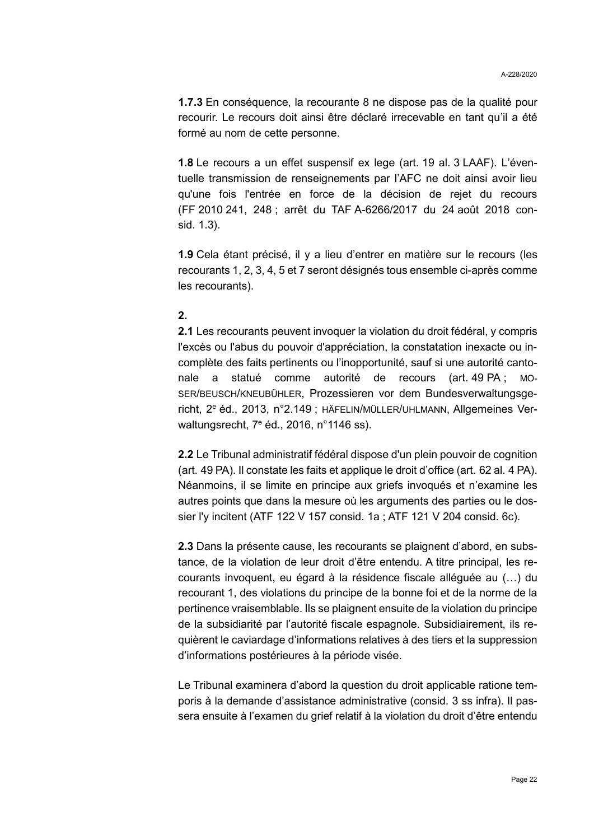**1.7.3** En conséquence, la recourante 8 ne dispose pas de la qualité pour recourir. Le recours doit ainsi être déclaré irrecevable en tant qu'il a été formé au nom de cette personne.

**1.8** Le recours a un effet suspensif ex lege (art. 19 al. 3 LAAF). L'éventuelle transmission de renseignements par l'AFC ne doit ainsi avoir lieu qu'une fois l'entrée en force de la décision de rejet du recours (FF 2010 241, 248 ; arrêt du TAF A-6266/2017 du 24 août 2018 consid. 1.3).

**1.9** Cela étant précisé, il y a lieu d'entrer en matière sur le recours (les recourants 1, 2, 3, 4, 5 et 7 seront désignés tous ensemble ci-après comme les recourants).

### **2.**

**2.1** Les recourants peuvent invoquer la violation du droit fédéral, y compris l'excès ou l'abus du pouvoir d'appréciation, la constatation inexacte ou incomplète des faits pertinents ou l'inopportunité, sauf si une autorité cantonale a statué comme autorité de recours (art. 49 PA ; MO-SER/BEUSCH/KNEUBÜHLER, Prozessieren vor dem Bundesverwaltungsgericht, 2<sup>e</sup> éd., 2013, n°2.149 ; HÄFELIN/MÜLLER/UHLMANN, Allgemeines Verwaltungsrecht, 7<sup>e</sup> éd., 2016, n°1146 ss).

**2.2** Le Tribunal administratif fédéral dispose d'un plein pouvoir de cognition (art. 49 PA). Il constate les faits et applique le droit d'office (art. 62 al. 4 PA). Néanmoins, il se limite en principe aux griefs invoqués et n'examine les autres points que dans la mesure où les arguments des parties ou le dossier l'y incitent (ATF 122 V 157 consid. 1a ; ATF 121 V 204 consid. 6c).

**2.3** Dans la présente cause, les recourants se plaignent d'abord, en substance, de la violation de leur droit d'être entendu. A titre principal, les recourants invoquent, eu égard à la résidence fiscale alléguée au (…) du recourant 1, des violations du principe de la bonne foi et de la norme de la pertinence vraisemblable. Ils se plaignent ensuite de la violation du principe de la subsidiarité par l'autorité fiscale espagnole. Subsidiairement, ils requièrent le caviardage d'informations relatives à des tiers et la suppression d'informations postérieures à la période visée.

Le Tribunal examinera d'abord la question du droit applicable ratione temporis à la demande d'assistance administrative (consid. [3](#page-22-0) ss infra). Il passera ensuite à l'examen du grief relatif à la violation du droit d'être entendu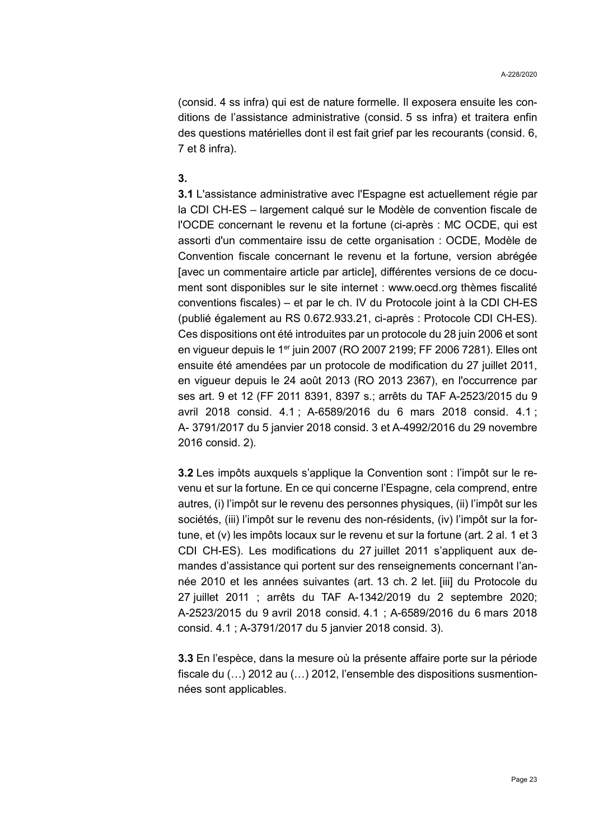(consid. [4](#page-23-0) ss infra) qui est de nature formelle. Il exposera ensuite les conditions de l'assistance administrative (consid. [5](#page-25-0) ss infra) et traitera enfin des questions matérielles dont il est fait grief par les recourants (consid. [6,](#page-30-0) [7](#page-33-0) et [8](#page-34-0) infra).

#### <span id="page-22-0"></span>**3.**

**3.1** L'assistance administrative avec l'Espagne est actuellement régie par la CDI CH-ES – largement calqué sur le Modèle de convention fiscale de l'OCDE concernant le revenu et la fortune (ci-après : MC OCDE, qui est assorti d'un commentaire issu de cette organisation : OCDE, Modèle de Convention fiscale concernant le revenu et la fortune, version abrégée [avec un commentaire article par article], différentes versions de ce document sont disponibles sur le site internet : www.oecd.org thèmes fiscalité conventions fiscales) – et par le ch. IV du Protocole joint à la CDI CH-ES (publié également au RS 0.672.933.21, ci-après : Protocole CDI CH-ES). Ces dispositions ont été introduites par un protocole du 28 juin 2006 et sont en vigueur depuis le 1<sup>er</sup> juin 2007 (RO 2007 2199; FF 2006 7281). Elles ont ensuite été amendées par un protocole de modification du 27 juillet 2011, en vigueur depuis le 24 août 2013 (RO 2013 2367), en l'occurrence par ses art. 9 et 12 (FF 2011 8391, 8397 s.; arrêts du TAF A-2523/2015 du 9 avril 2018 consid. 4.1 ; A-6589/2016 du 6 mars 2018 consid. 4.1 ; A- 3791/2017 du 5 janvier 2018 consid. 3 et A-4992/2016 du 29 novembre 2016 consid. 2).

**3.2** Les impôts auxquels s'applique la Convention sont : l'impôt sur le revenu et sur la fortune. En ce qui concerne l'Espagne, cela comprend, entre autres, (i) l'impôt sur le revenu des personnes physiques, (ii) l'impôt sur les sociétés, (iii) l'impôt sur le revenu des non-résidents, (iv) l'impôt sur la fortune, et (v) les impôts locaux sur le revenu et sur la fortune (art. 2 al. 1 et 3 CDI CH-ES). Les modifications du 27 juillet 2011 s'appliquent aux demandes d'assistance qui portent sur des renseignements concernant l'année 2010 et les années suivantes (art. 13 ch. 2 let. [iii] du Protocole du 27 juillet 2011 ; arrêts du TAF A-1342/2019 du 2 septembre 2020; A-2523/2015 du 9 avril 2018 consid. 4.1 ; A-6589/2016 du 6 mars 2018 consid. 4.1 ; A-3791/2017 du 5 janvier 2018 consid. 3).

**3.3** En l'espèce, dans la mesure où la présente affaire porte sur la période fiscale du (…) 2012 au (…) 2012, l'ensemble des dispositions susmentionnées sont applicables.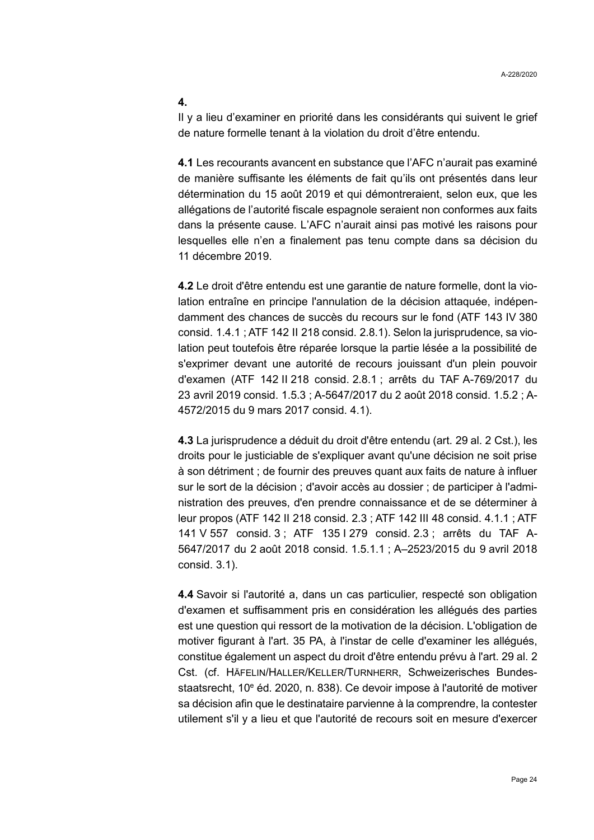#### **4.**

<span id="page-23-0"></span>Il y a lieu d'examiner en priorité dans les considérants qui suivent le grief de nature formelle tenant à la violation du droit d'être entendu.

**4.1** Les recourants avancent en substance que l'AFC n'aurait pas examiné de manière suffisante les éléments de fait qu'ils ont présentés dans leur détermination du 15 août 2019 et qui démontreraient, selon eux, que les allégations de l'autorité fiscale espagnole seraient non conformes aux faits dans la présente cause. L'AFC n'aurait ainsi pas motivé les raisons pour lesquelles elle n'en a finalement pas tenu compte dans sa décision du 11 décembre 2019.

**4.2** Le droit d'être entendu est une garantie de nature formelle, dont la violation entraîne en principe l'annulation de la décision attaquée, indépendamment des chances de succès du recours sur le fond (ATF 143 IV 380 consid. 1.4.1 ; ATF 142 II 218 consid. 2.8.1). Selon la jurisprudence, sa violation peut toutefois être réparée lorsque la partie lésée a la possibilité de s'exprimer devant une autorité de recours jouissant d'un plein pouvoir d'examen (ATF 142 II 218 consid. 2.8.1 ; arrêts du TAF A-769/2017 du 23 avril 2019 consid. 1.5.3 ; A-5647/2017 du 2 août 2018 consid. 1.5.2 ; A-4572/2015 du 9 mars 2017 consid. 4.1).

**4.3** La jurisprudence a déduit du droit d'être entendu (art. 29 al. 2 Cst.), les droits pour le justiciable de s'expliquer avant qu'une décision ne soit prise à son détriment ; de fournir des preuves quant aux faits de nature à influer sur le sort de la décision ; d'avoir accès au dossier ; de participer à l'administration des preuves, d'en prendre connaissance et de se déterminer à leur propos (ATF 142 II 218 consid. 2.3 ; ATF 142 III 48 consid. 4.1.1 ; ATF 141 V 557 consid. 3 ; ATF 135 I 279 consid. 2.3 ; arrêts du TAF A-5647/2017 du 2 août 2018 consid. 1.5.1.1 ; A–2523/2015 du 9 avril 2018 consid. 3.1).

**4.4** Savoir si l'autorité a, dans un cas particulier, respecté son obligation d'examen et suffisamment pris en considération les allégués des parties est une question qui ressort de la motivation de la décision. L'obligation de motiver figurant à l'art. 35 PA, à l'instar de celle d'examiner les allégués, constitue également un aspect du droit d'être entendu prévu à l'art. 29 al. 2 Cst. (cf. HÄFELIN/HALLER/KELLER/TURNHERR, Schweizerisches Bundesstaatsrecht, 10<sup>e</sup> éd. 2020, n. 838). Ce devoir impose à l'autorité de motiver sa décision afin que le destinataire parvienne à la comprendre, la contester utilement s'il y a lieu et que l'autorité de recours soit en mesure d'exercer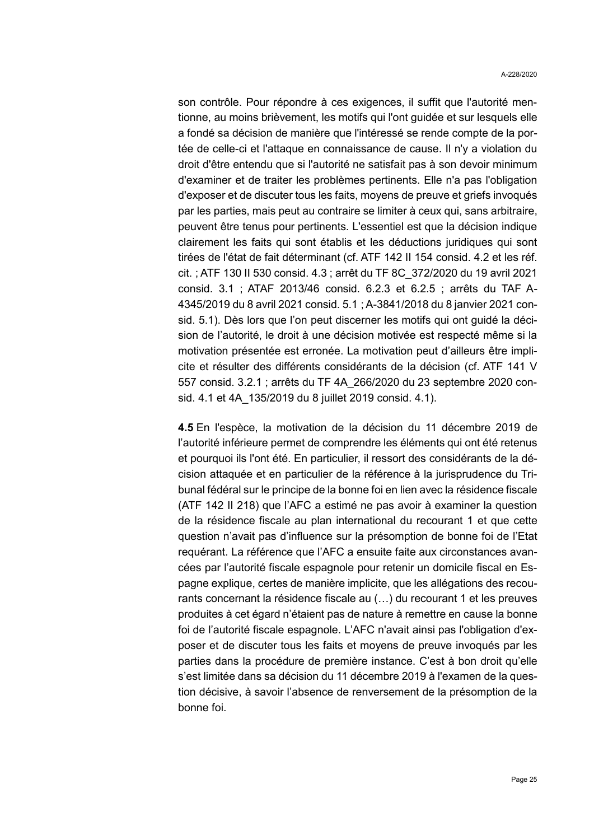son contrôle. Pour répondre à ces exigences, il suffit que l'autorité mentionne, au moins brièvement, les motifs qui l'ont guidée et sur lesquels elle a fondé sa décision de manière que l'intéressé se rende compte de la portée de celle-ci et l'attaque en connaissance de cause. Il n'y a violation du droit d'être entendu que si l'autorité ne satisfait pas à son devoir minimum d'examiner et de traiter les problèmes pertinents. Elle n'a pas l'obligation d'exposer et de discuter tous les faits, moyens de preuve et griefs invoqués par les parties, mais peut au contraire se limiter à ceux qui, sans arbitraire, peuvent être tenus pour pertinents. L'essentiel est que la décision indique clairement les faits qui sont établis et les déductions juridiques qui sont tirées de l'état de fait déterminant (cf. ATF 142 II 154 consid. 4.2 et les réf. cit. ; ATF 130 II 530 consid. 4.3 ; arrêt du TF 8C\_372/2020 du 19 avril 2021 consid. 3.1 ; ATAF 2013/46 consid. 6.2.3 et 6.2.5 ; arrêts du TAF A-4345/2019 du 8 avril 2021 consid. 5.1 ; A-3841/2018 du 8 janvier 2021 consid. 5.1). Dès lors que l'on peut discerner les motifs qui ont guidé la décision de l'autorité, le droit à une décision motivée est respecté même si la motivation présentée est erronée. La motivation peut d'ailleurs être implicite et résulter des différents considérants de la décision (cf. ATF 141 V 557 consid. 3.2.1 ; arrêts du TF 4A\_266/2020 du 23 septembre 2020 consid. 4.1 et 4A\_135/2019 du 8 juillet 2019 consid. 4.1).

**4.5** En l'espèce, la motivation de la décision du 11 décembre 2019 de l'autorité inférieure permet de comprendre les éléments qui ont été retenus et pourquoi ils l'ont été. En particulier, il ressort des considérants de la décision attaquée et en particulier de la référence à la jurisprudence du Tribunal fédéral sur le principe de la bonne foi en lien avec la résidence fiscale (ATF 142 II 218) que l'AFC a estimé ne pas avoir à examiner la question de la résidence fiscale au plan international du recourant 1 et que cette question n'avait pas d'influence sur la présomption de bonne foi de l'Etat requérant. La référence que l'AFC a ensuite faite aux circonstances avancées par l'autorité fiscale espagnole pour retenir un domicile fiscal en Espagne explique, certes de manière implicite, que les allégations des recourants concernant la résidence fiscale au (…) du recourant 1 et les preuves produites à cet égard n'étaient pas de nature à remettre en cause la bonne foi de l'autorité fiscale espagnole. L'AFC n'avait ainsi pas l'obligation d'exposer et de discuter tous les faits et moyens de preuve invoqués par les parties dans la procédure de première instance. C'est à bon droit qu'elle s'est limitée dans sa décision du 11 décembre 2019 à l'examen de la question décisive, à savoir l'absence de renversement de la présomption de la bonne foi.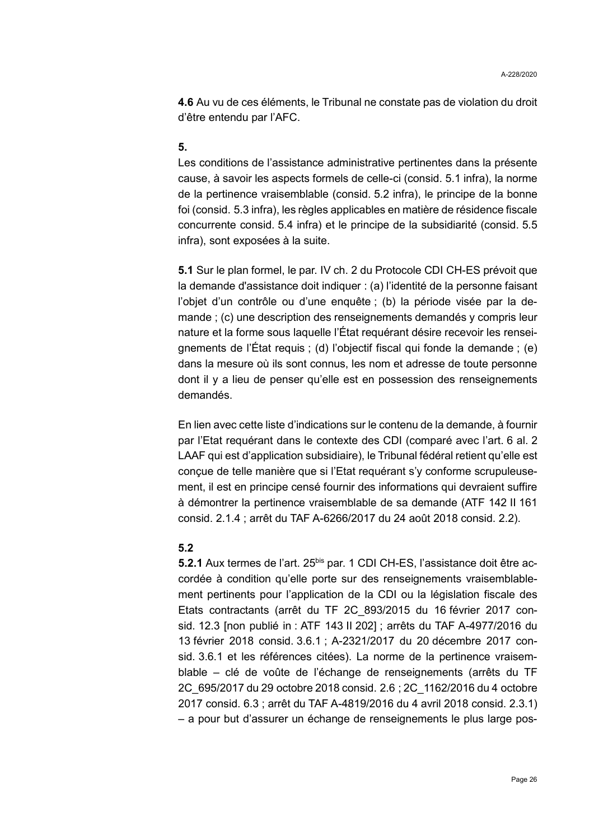**4.6** Au vu de ces éléments, le Tribunal ne constate pas de violation du droit d'être entendu par l'AFC.

### **5.**

<span id="page-25-0"></span>Les conditions de l'assistance administrative pertinentes dans la présente cause, à savoir les aspects formels de celle-ci (consid. [5.1](#page-25-1) infra), la norme de la pertinence vraisemblable (consid. [5.2](#page-25-2) infra), le principe de la bonne foi (consid. [5.3](#page-27-0) infra), les règles applicables en matière de résidence fiscale concurrente consid. [5.4](#page-27-1) infra) et le principe de la subsidiarité (consid. [5.5](#page-29-0) infra), sont exposées à la suite.

<span id="page-25-1"></span>**5.1** Sur le plan formel, le par. IV ch. 2 du Protocole CDI CH-ES prévoit que la demande d'assistance doit indiquer : (a) l'identité de la personne faisant l'objet d'un contrôle ou d'une enquête ; (b) la période visée par la demande ; (c) une description des renseignements demandés y compris leur nature et la forme sous laquelle l'État requérant désire recevoir les renseignements de l'État requis ; (d) l'objectif fiscal qui fonde la demande ; (e) dans la mesure où ils sont connus, les nom et adresse de toute personne dont il y a lieu de penser qu'elle est en possession des renseignements demandés.

En lien avec cette liste d'indications sur le contenu de la demande, à fournir par l'Etat requérant dans le contexte des CDI (comparé avec l'art. 6 al. 2 LAAF qui est d'application subsidiaire), le Tribunal fédéral retient qu'elle est conçue de telle manière que si l'Etat requérant s'y conforme scrupuleusement, il est en principe censé fournir des informations qui devraient suffire à démontrer la pertinence vraisemblable de sa demande (ATF 142 II 161 consid. 2.1.4 ; arrêt du TAF A-6266/2017 du 24 août 2018 consid. 2.2).

### <span id="page-25-2"></span>**5.2**

**5.2.1** Aux termes de l'art. 25<sup>bis</sup> par. 1 CDI CH-ES, l'assistance doit être accordée à condition qu'elle porte sur des renseignements vraisemblablement pertinents pour l'application de la CDI ou la législation fiscale des Etats contractants (arrêt du TF 2C\_893/2015 du 16 février 2017 consid. 12.3 [non publié in : ATF 143 II 202] ; arrêts du TAF A-4977/2016 du 13 février 2018 consid. 3.6.1 ; A-2321/2017 du 20 décembre 2017 consid. 3.6.1 et les références citées). La norme de la pertinence vraisemblable – clé de voûte de l'échange de renseignements (arrêts du TF 2C\_695/2017 du 29 octobre 2018 consid. 2.6 ; 2C\_1162/2016 du 4 octobre 2017 consid. 6.3 ; arrêt du TAF A-4819/2016 du 4 avril 2018 consid. 2.3.1) – a pour but d'assurer un échange de renseignements le plus large pos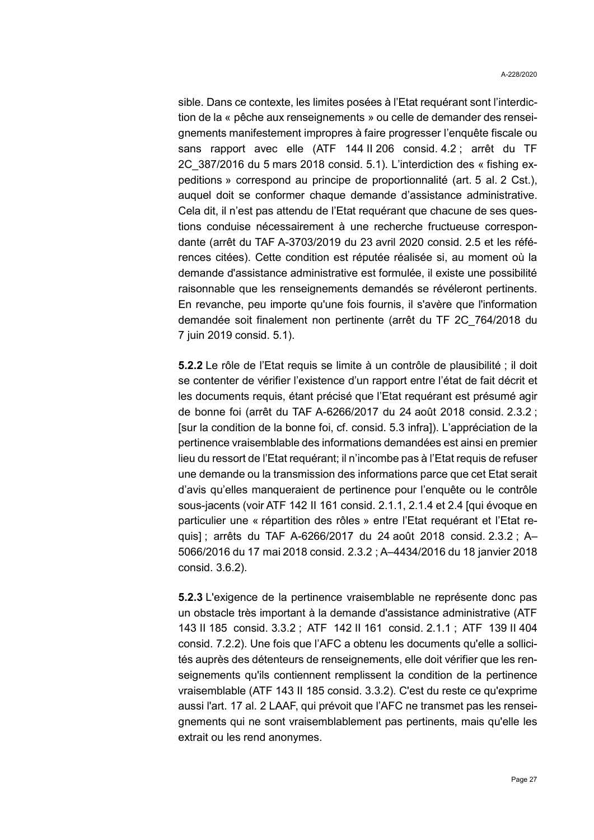sible. Dans ce contexte, les limites posées à l'Etat requérant sont l'interdiction de la « pêche aux renseignements » ou celle de demander des renseignements manifestement impropres à faire progresser l'enquête fiscale ou sans rapport avec elle (ATF 144 II 206 consid. 4.2 ; arrêt du TF 2C\_387/2016 du 5 mars 2018 consid. 5.1). L'interdiction des « fishing expeditions » correspond au principe de proportionnalité (art. 5 al. 2 Cst.), auquel doit se conformer chaque demande d'assistance administrative. Cela dit, il n'est pas attendu de l'Etat requérant que chacune de ses questions conduise nécessairement à une recherche fructueuse correspondante (arrêt du TAF A-3703/2019 du 23 avril 2020 consid. 2.5 et les références citées). Cette condition est réputée réalisée si, au moment où la demande d'assistance administrative est formulée, il existe une possibilité raisonnable que les renseignements demandés se révéleront pertinents. En revanche, peu importe qu'une fois fournis, il s'avère que l'information demandée soit finalement non pertinente (arrêt du TF 2C\_764/2018 du 7 juin 2019 consid. 5.1).

<span id="page-26-0"></span>**5.2.2** Le rôle de l'Etat requis se limite à un contrôle de plausibilité ; il doit se contenter de vérifier l'existence d'un rapport entre l'état de fait décrit et les documents requis, étant précisé que l'Etat requérant est présumé agir de bonne foi (arrêt du TAF A-6266/2017 du 24 août 2018 consid. 2.3.2 ; [sur la condition de la bonne foi, cf. consid. [5.3](#page-27-0) infra]). L'appréciation de la pertinence vraisemblable des informations demandées est ainsi en premier lieu du ressort de l'Etat requérant; il n'incombe pas à l'Etat requis de refuser une demande ou la transmission des informations parce que cet Etat serait d'avis qu'elles manqueraient de pertinence pour l'enquête ou le contrôle sous-jacents (voir ATF 142 II 161 consid. 2.1.1, 2.1.4 et 2.4 [qui évoque en particulier une « répartition des rôles » entre l'Etat requérant et l'Etat requis] ; arrêts du TAF A-6266/2017 du 24 août 2018 consid. 2.3.2 ; A– 5066/2016 du 17 mai 2018 consid. 2.3.2 ; A–4434/2016 du 18 janvier 2018 consid. 3.6.2).

**5.2.3** L'exigence de la pertinence vraisemblable ne représente donc pas un obstacle très important à la demande d'assistance administrative (ATF 143 II 185 consid. 3.3.2 ; ATF 142 II 161 consid. 2.1.1 ; ATF 139 II 404 consid. 7.2.2). Une fois que l'AFC a obtenu les documents qu'elle a sollicités auprès des détenteurs de renseignements, elle doit vérifier que les renseignements qu'ils contiennent remplissent la condition de la pertinence vraisemblable (ATF 143 II 185 consid. 3.3.2). C'est du reste ce qu'exprime aussi l'art. 17 al. 2 LAAF, qui prévoit que l'AFC ne transmet pas les renseignements qui ne sont vraisemblablement pas pertinents, mais qu'elle les extrait ou les rend anonymes.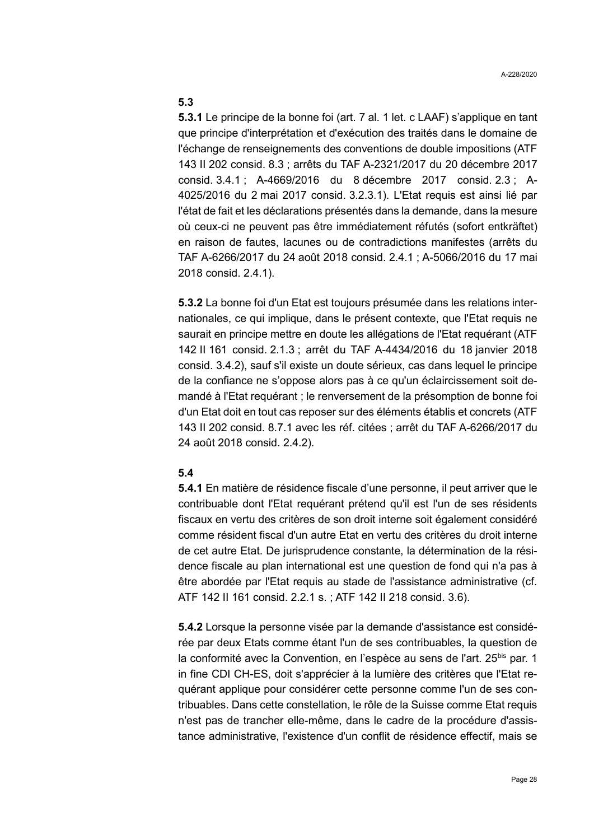### <span id="page-27-0"></span>**5.3**

**5.3.1** Le principe de la bonne foi (art. 7 al. 1 let. c LAAF) s'applique en tant que principe d'interprétation et d'exécution des traités dans le domaine de l'échange de renseignements des conventions de double impositions (ATF 143 II 202 consid. 8.3 ; arrêts du TAF A-2321/2017 du 20 décembre 2017 consid. 3.4.1 ; A-4669/2016 du 8 décembre 2017 consid. 2.3 ; A-4025/2016 du 2 mai 2017 consid. 3.2.3.1). L'Etat requis est ainsi lié par l'état de fait et les déclarations présentés dans la demande, dans la mesure où ceux-ci ne peuvent pas être immédiatement réfutés (sofort entkräftet) en raison de fautes, lacunes ou de contradictions manifestes (arrêts du TAF A-6266/2017 du 24 août 2018 consid. 2.4.1 ; A-5066/2016 du 17 mai 2018 consid. 2.4.1).

<span id="page-27-3"></span>**5.3.2** La bonne foi d'un Etat est toujours présumée dans les relations internationales, ce qui implique, dans le présent contexte, que l'Etat requis ne saurait en principe mettre en doute les allégations de l'Etat requérant (ATF 142 II 161 consid. 2.1.3 ; arrêt du TAF A-4434/2016 du 18 janvier 2018 consid. 3.4.2), sauf s'il existe un doute sérieux, cas dans lequel le principe de la confiance ne s'oppose alors pas à ce qu'un éclaircissement soit demandé à l'Etat requérant ; le renversement de la présomption de bonne foi d'un Etat doit en tout cas reposer sur des éléments établis et concrets (ATF 143 II 202 consid. 8.7.1 avec les réf. citées ; arrêt du TAF A-6266/2017 du 24 août 2018 consid. 2.4.2).

#### <span id="page-27-1"></span>**5.4**

**5.4.1** En matière de résidence fiscale d'une personne, il peut arriver que le contribuable dont l'Etat requérant prétend qu'il est l'un de ses résidents fiscaux en vertu des critères de son droit interne soit également considéré comme résident fiscal d'un autre Etat en vertu des critères du droit interne de cet autre Etat. De jurisprudence constante, la détermination de la résidence fiscale au plan international est une question de fond qui n'a pas à être abordée par l'Etat requis au stade de l'assistance administrative (cf. ATF 142 II 161 consid. 2.2.1 s. ; ATF 142 II 218 consid. 3.6).

<span id="page-27-2"></span>**5.4.2** Lorsque la personne visée par la demande d'assistance est considérée par deux Etats comme étant l'un de ses contribuables, la question de la conformité avec la Convention, en l'espèce au sens de l'art. 25<sup>bis</sup> par. 1 in fine CDI CH-ES, doit s'apprécier à la lumière des critères que l'Etat requérant applique pour considérer cette personne comme l'un de ses contribuables. Dans cette constellation, le rôle de la Suisse comme Etat requis n'est pas de trancher elle-même, dans le cadre de la procédure d'assistance administrative, l'existence d'un conflit de résidence effectif, mais se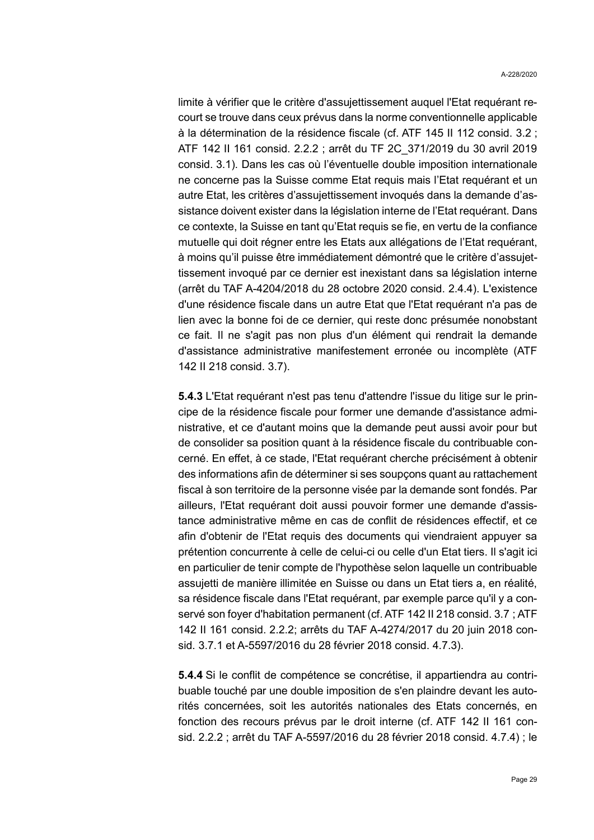limite à vérifier que le critère d'assujettissement auquel l'Etat requérant recourt se trouve dans ceux prévus dans la norme conventionnelle applicable à la détermination de la résidence fiscale (cf. ATF 145 II 112 consid. 3.2 ; ATF 142 II 161 consid. 2.2.2 ; arrêt du TF 2C\_371/2019 du 30 avril 2019 consid. 3.1). Dans les cas où l'éventuelle double imposition internationale ne concerne pas la Suisse comme Etat requis mais l'Etat requérant et un autre Etat, les critères d'assujettissement invoqués dans la demande d'assistance doivent exister dans la législation interne de l'Etat requérant. Dans ce contexte, la Suisse en tant qu'Etat requis se fie, en vertu de la confiance mutuelle qui doit régner entre les Etats aux allégations de l'Etat requérant, à moins qu'il puisse être immédiatement démontré que le critère d'assujettissement invoqué par ce dernier est inexistant dans sa législation interne (arrêt du TAF A-4204/2018 du 28 octobre 2020 consid. 2.4.4). L'existence d'une résidence fiscale dans un autre Etat que l'Etat requérant n'a pas de lien avec la bonne foi de ce dernier, qui reste donc présumée nonobstant ce fait. Il ne s'agit pas non plus d'un élément qui rendrait la demande d'assistance administrative manifestement erronée ou incomplète (ATF 142 II 218 consid. 3.7).

**5.4.3** L'Etat requérant n'est pas tenu d'attendre l'issue du litige sur le principe de la résidence fiscale pour former une demande d'assistance administrative, et ce d'autant moins que la demande peut aussi avoir pour but de consolider sa position quant à la résidence fiscale du contribuable concerné. En effet, à ce stade, l'Etat requérant cherche précisément à obtenir des informations afin de déterminer si ses soupçons quant au rattachement fiscal à son territoire de la personne visée par la demande sont fondés. Par ailleurs, l'Etat requérant doit aussi pouvoir former une demande d'assistance administrative même en cas de conflit de résidences effectif, et ce afin d'obtenir de l'Etat requis des documents qui viendraient appuyer sa prétention concurrente à celle de celui-ci ou celle d'un Etat tiers. Il s'agit ici en particulier de tenir compte de l'hypothèse selon laquelle un contribuable assujetti de manière illimitée en Suisse ou dans un Etat tiers a, en réalité, sa résidence fiscale dans l'Etat requérant, par exemple parce qu'il y a conservé son foyer d'habitation permanent (cf. ATF 142 II 218 consid. 3.7 ; ATF 142 II 161 consid. 2.2.2; arrêts du TAF A-4274/2017 du 20 juin 2018 consid. 3.7.1 et A-5597/2016 du 28 février 2018 consid. 4.7.3).

<span id="page-28-0"></span>**5.4.4** Si le conflit de compétence se concrétise, il appartiendra au contribuable touché par une double imposition de s'en plaindre devant les autorités concernées, soit les autorités nationales des Etats concernés, en fonction des recours prévus par le droit interne (cf. ATF 142 II 161 consid. 2.2.2 ; arrêt du TAF A-5597/2016 du 28 février 2018 consid. 4.7.4) ; le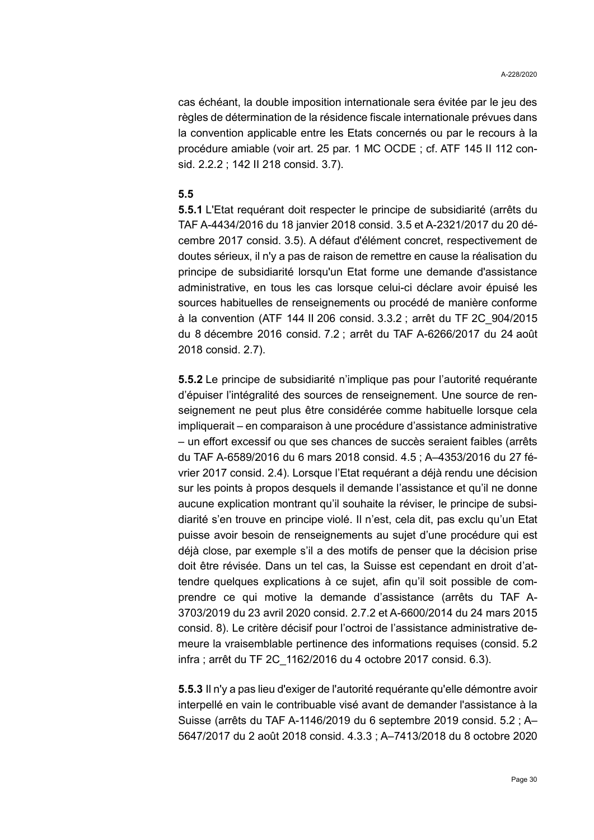cas échéant, la double imposition internationale sera évitée par le jeu des règles de détermination de la résidence fiscale internationale prévues dans la convention applicable entre les Etats concernés ou par le recours à la procédure amiable (voir art. 25 par. 1 MC OCDE ; cf. ATF 145 II 112 consid. 2.2.2 ; 142 II 218 consid. 3.7).

#### <span id="page-29-0"></span>**5.5**

**5.5.1** L'Etat requérant doit respecter le principe de subsidiarité (arrêts du TAF A-4434/2016 du 18 janvier 2018 consid. 3.5 et A-2321/2017 du 20 décembre 2017 consid. 3.5). A défaut d'élément concret, respectivement de doutes sérieux, il n'y a pas de raison de remettre en cause la réalisation du principe de subsidiarité lorsqu'un Etat forme une demande d'assistance administrative, en tous les cas lorsque celui-ci déclare avoir épuisé les sources habituelles de renseignements ou procédé de manière conforme à la convention (ATF 144 II 206 consid. 3.3.2 ; arrêt du TF 2C\_904/2015 du 8 décembre 2016 consid. 7.2 ; arrêt du TAF A-6266/2017 du 24 août 2018 consid. 2.7).

**5.5.2** Le principe de subsidiarité n'implique pas pour l'autorité requérante d'épuiser l'intégralité des sources de renseignement. Une source de renseignement ne peut plus être considérée comme habituelle lorsque cela impliquerait – en comparaison à une procédure d'assistance administrative – un effort excessif ou que ses chances de succès seraient faibles (arrêts du TAF A-6589/2016 du 6 mars 2018 consid. 4.5 ; A–4353/2016 du 27 février 2017 consid. 2.4). Lorsque l'Etat requérant a déjà rendu une décision sur les points à propos desquels il demande l'assistance et qu'il ne donne aucune explication montrant qu'il souhaite la réviser, le principe de subsidiarité s'en trouve en principe violé. Il n'est, cela dit, pas exclu qu'un Etat puisse avoir besoin de renseignements au sujet d'une procédure qui est déjà close, par exemple s'il a des motifs de penser que la décision prise doit être révisée. Dans un tel cas, la Suisse est cependant en droit d'attendre quelques explications à ce sujet, afin qu'il soit possible de comprendre ce qui motive la demande d'assistance (arrêts du TAF A-3703/2019 du 23 avril 2020 consid. 2.7.2 et A-6600/2014 du 24 mars 2015 consid. 8). Le critère décisif pour l'octroi de l'assistance administrative demeure la vraisemblable pertinence des informations requises (consid. [5.2](#page-25-2) infra ; arrêt du TF 2C\_1162/2016 du 4 octobre 2017 consid. 6.3).

**5.5.3** Il n'y a pas lieu d'exiger de l'autorité requérante qu'elle démontre avoir interpellé en vain le contribuable visé avant de demander l'assistance à la Suisse (arrêts du TAF A-1146/2019 du 6 septembre 2019 consid. 5.2 ; A– 5647/2017 du 2 août 2018 consid. 4.3.3 ; A–7413/2018 du 8 octobre 2020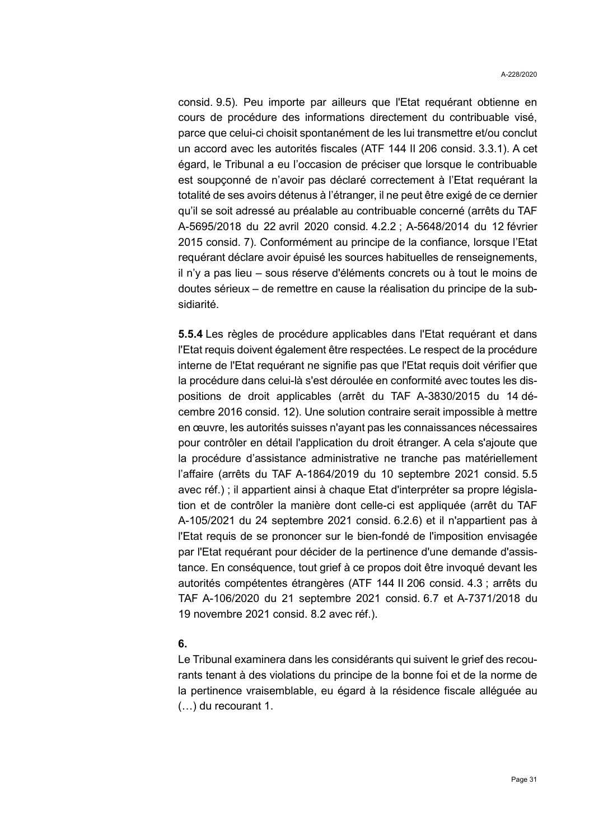consid. 9.5). Peu importe par ailleurs que l'Etat requérant obtienne en cours de procédure des informations directement du contribuable visé, parce que celui-ci choisit spontanément de les lui transmettre et/ou conclut un accord avec les autorités fiscales (ATF 144 II 206 consid. 3.3.1). A cet égard, le Tribunal a eu l'occasion de préciser que lorsque le contribuable est soupçonné de n'avoir pas déclaré correctement à l'Etat requérant la totalité de ses avoirs détenus à l'étranger, il ne peut être exigé de ce dernier qu'il se soit adressé au préalable au contribuable concerné (arrêts du TAF A-5695/2018 du 22 avril 2020 consid. 4.2.2 ; A-5648/2014 du 12 février 2015 consid. 7). Conformément au principe de la confiance, lorsque l'Etat requérant déclare avoir épuisé les sources habituelles de renseignements, il n'y a pas lieu – sous réserve d'éléments concrets ou à tout le moins de doutes sérieux – de remettre en cause la réalisation du principe de la subsidiarité.

<span id="page-30-1"></span>**5.5.4** Les règles de procédure applicables dans l'Etat requérant et dans l'Etat requis doivent également être respectées. Le respect de la procédure interne de l'Etat requérant ne signifie pas que l'Etat requis doit vérifier que la procédure dans celui-là s'est déroulée en conformité avec toutes les dispositions de droit applicables (arrêt du TAF A-3830/2015 du 14 décembre 2016 consid. 12). Une solution contraire serait impossible à mettre en œuvre, les autorités suisses n'ayant pas les connaissances nécessaires pour contrôler en détail l'application du droit étranger. A cela s'ajoute que la procédure d'assistance administrative ne tranche pas matériellement l'affaire (arrêts du TAF A-1864/2019 du 10 septembre 2021 consid. 5.5 avec réf.) ; il appartient ainsi à chaque Etat d'interpréter sa propre législation et de contrôler la manière dont celle-ci est appliquée (arrêt du TAF A-105/2021 du 24 septembre 2021 consid. 6.2.6) et il n'appartient pas à l'Etat requis de se prononcer sur le bien-fondé de l'imposition envisagée par l'Etat requérant pour décider de la pertinence d'une demande d'assistance. En conséquence, tout grief à ce propos doit être invoqué devant les autorités compétentes étrangères (ATF 144 II 206 consid. 4.3 ; arrêts du TAF A-106/2020 du 21 septembre 2021 consid. 6.7 et A-7371/2018 du 19 novembre 2021 consid. 8.2 avec réf.).

#### <span id="page-30-0"></span>**6.**

Le Tribunal examinera dans les considérants qui suivent le grief des recourants tenant à des violations du principe de la bonne foi et de la norme de la pertinence vraisemblable, eu égard à la résidence fiscale alléguée au (…) du recourant 1.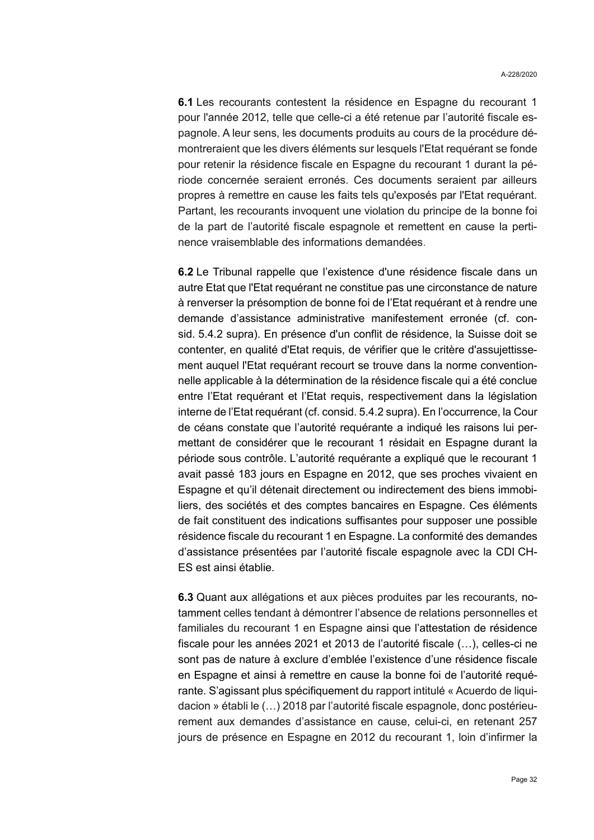**6.1** Les recourants contestent la résidence en Espagne du recourant 1 pour l'année 2012, telle que celle-ci a été retenue par l'autorité fiscale espagnole. A leur sens, les documents produits au cours de la procédure démontreraient que les divers éléments sur lesquels l'Etat requérant se fonde pour retenir la résidence fiscale en Espagne du recourant 1 durant la période concernée seraient erronés. Ces documents seraient par ailleurs propres à remettre en cause les faits tels qu'exposés par l'Etat requérant. Partant, les recourants invoquent une violation du principe de la bonne foi de la part de l'autorité fiscale espagnole et remettent en cause la pertinence vraisemblable des informations demandées.

<span id="page-31-0"></span>**6.2** Le Tribunal rappelle que l'existence d'une résidence fiscale dans un autre Etat que l'Etat requérant ne constitue pas une circonstance de nature à renverser la présomption de bonne foi de l'Etat requérant et à rendre une demande d'assistance administrative manifestement erronée (cf. consid. [5.4.2](#page-27-2) supra). En présence d'un conflit de résidence, la Suisse doit se contenter, en qualité d'Etat requis, de vérifier que le critère d'assujettissement auquel l'Etat requérant recourt se trouve dans la norme conventionnelle applicable à la détermination de la résidence fiscale qui a été conclue entre l'Etat requérant et l'Etat requis, respectivement dans la législation interne de l'Etat requérant (cf. consid. [5.4.2](#page-27-2) supra). En l'occurrence, la Cour de céans constate que l'autorité requérante a indiqué les raisons lui permettant de considérer que le recourant 1 résidait en Espagne durant la période sous contrôle. L'autorité requérante a expliqué que le recourant 1 avait passé 183 jours en Espagne en 2012, que ses proches vivaient en Espagne et qu'il détenait directement ou indirectement des biens immobiliers, des sociétés et des comptes bancaires en Espagne. Ces éléments de fait constituent des indications suffisantes pour supposer une possible résidence fiscale du recourant 1 en Espagne. La conformité des demandes d'assistance présentées par l'autorité fiscale espagnole avec la CDI CH-ES est ainsi établie.

**6.3** Quant aux allégations et aux pièces produites par les recourants, notamment celles tendant à démontrer l'absence de relations personnelles et familiales du recourant 1 en Espagne ainsi que l'attestation de résidence fiscale pour les années 2021 et 2013 de l'autorité fiscale (…), celles-ci ne sont pas de nature à exclure d'emblée l'existence d'une résidence fiscale en Espagne et ainsi à remettre en cause la bonne foi de l'autorité requérante. S'agissant plus spécifiquement du rapport intitulé « Acuerdo de liquidacion » établi le (…) 2018 par l'autorité fiscale espagnole, donc postérieurement aux demandes d'assistance en cause, celui-ci, en retenant 257 jours de présence en Espagne en 2012 du recourant 1, loin d'infirmer la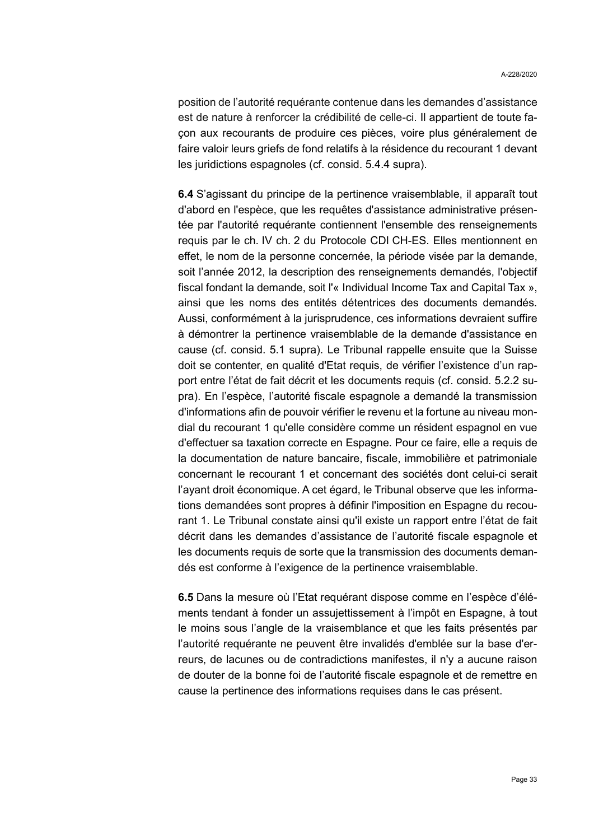position de l'autorité requérante contenue dans les demandes d'assistance est de nature à renforcer la crédibilité de celle-ci. Il appartient de toute façon aux recourants de produire ces pièces, voire plus généralement de faire valoir leurs griefs de fond relatifs à la résidence du recourant 1 devant les juridictions espagnoles (cf. consid. [5.4.4](#page-28-0) supra).

**6.4** S'agissant du principe de la pertinence vraisemblable, il apparaît tout d'abord en l'espèce, que les requêtes d'assistance administrative présentée par l'autorité requérante contiennent l'ensemble des renseignements requis par le ch. IV ch. 2 du Protocole CDI CH-ES. Elles mentionnent en effet, le nom de la personne concernée, la période visée par la demande, soit l'année 2012, la description des renseignements demandés, l'objectif fiscal fondant la demande, soit l'« Individual Income Tax and Capital Tax », ainsi que les noms des entités détentrices des documents demandés. Aussi, conformément à la jurisprudence, ces informations devraient suffire à démontrer la pertinence vraisemblable de la demande d'assistance en cause (cf. consid. [5.1](#page-25-1) supra). Le Tribunal rappelle ensuite que la Suisse doit se contenter, en qualité d'Etat requis, de vérifier l'existence d'un rapport entre l'état de fait décrit et les documents requis (cf. consid. [5.2.2](#page-26-0) supra). En l'espèce, l'autorité fiscale espagnole a demandé la transmission d'informations afin de pouvoir vérifier le revenu et la fortune au niveau mondial du recourant 1 qu'elle considère comme un résident espagnol en vue d'effectuer sa taxation correcte en Espagne. Pour ce faire, elle a requis de la documentation de nature bancaire, fiscale, immobilière et patrimoniale concernant le recourant 1 et concernant des sociétés dont celui-ci serait l'ayant droit économique. A cet égard, le Tribunal observe que les informations demandées sont propres à définir l'imposition en Espagne du recourant 1. Le Tribunal constate ainsi qu'il existe un rapport entre l'état de fait décrit dans les demandes d'assistance de l'autorité fiscale espagnole et les documents requis de sorte que la transmission des documents demandés est conforme à l'exigence de la pertinence vraisemblable.

**6.5** Dans la mesure où l'Etat requérant dispose comme en l'espèce d'éléments tendant à fonder un assujettissement à l'impôt en Espagne, à tout le moins sous l'angle de la vraisemblance et que les faits présentés par l'autorité requérante ne peuvent être invalidés d'emblée sur la base d'erreurs, de lacunes ou de contradictions manifestes, il n'y a aucune raison de douter de la bonne foi de l'autorité fiscale espagnole et de remettre en cause la pertinence des informations requises dans le cas présent.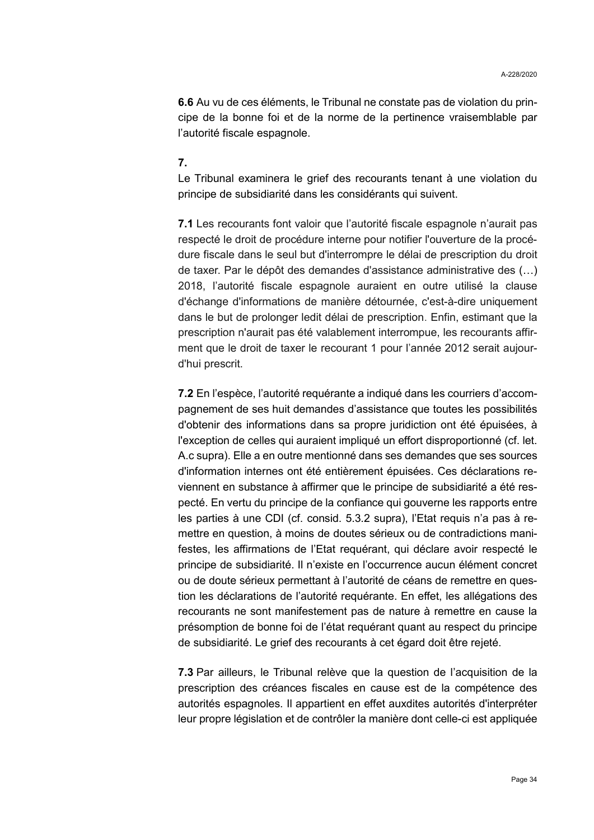**6.6** Au vu de ces éléments, le Tribunal ne constate pas de violation du principe de la bonne foi et de la norme de la pertinence vraisemblable par l'autorité fiscale espagnole.

### <span id="page-33-0"></span>**7.**

Le Tribunal examinera le grief des recourants tenant à une violation du principe de subsidiarité dans les considérants qui suivent.

**7.1** Les recourants font valoir que l'autorité fiscale espagnole n'aurait pas respecté le droit de procédure interne pour notifier l'ouverture de la procédure fiscale dans le seul but d'interrompre le délai de prescription du droit de taxer. Par le dépôt des demandes d'assistance administrative des (…) 2018, l'autorité fiscale espagnole auraient en outre utilisé la clause d'échange d'informations de manière détournée, c'est-à-dire uniquement dans le but de prolonger ledit délai de prescription. Enfin, estimant que la prescription n'aurait pas été valablement interrompue, les recourants affirment que le droit de taxer le recourant 1 pour l'année 2012 serait aujourd'hui prescrit.

**7.2** En l'espèce, l'autorité requérante a indiqué dans les courriers d'accompagnement de ses huit demandes d'assistance que toutes les possibilités d'obtenir des informations dans sa propre juridiction ont été épuisées, à l'exception de celles qui auraient impliqué un effort disproportionné (cf. let. [A.c](#page-2-0) supra). Elle a en outre mentionné dans ses demandes que ses sources d'information internes ont été entièrement épuisées. Ces déclarations reviennent en substance à affirmer que le principe de subsidiarité a été respecté. En vertu du principe de la confiance qui gouverne les rapports entre les parties à une CDI (cf. consid. [5.3.2](#page-27-3) supra), l'Etat requis n'a pas à remettre en question, à moins de doutes sérieux ou de contradictions manifestes, les affirmations de l'Etat requérant, qui déclare avoir respecté le principe de subsidiarité. Il n'existe en l'occurrence aucun élément concret ou de doute sérieux permettant à l'autorité de céans de remettre en question les déclarations de l'autorité requérante. En effet, les allégations des recourants ne sont manifestement pas de nature à remettre en cause la présomption de bonne foi de l'état requérant quant au respect du principe de subsidiarité. Le grief des recourants à cet égard doit être rejeté.

**7.3** Par ailleurs, le Tribunal relève que la question de l'acquisition de la prescription des créances fiscales en cause est de la compétence des autorités espagnoles. Il appartient en effet auxdites autorités d'interpréter leur propre législation et de contrôler la manière dont celle-ci est appliquée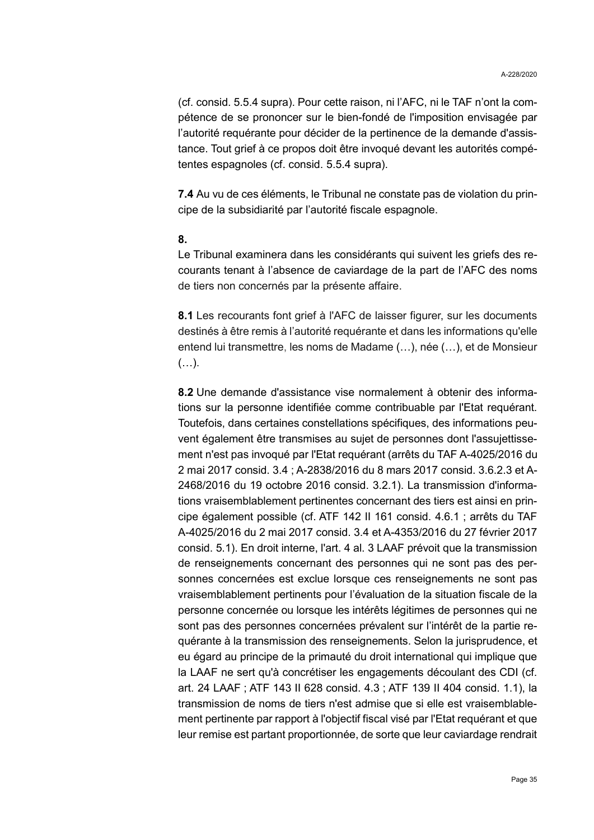(cf. consid. [5.5.4](#page-30-1) supra). Pour cette raison, ni l'AFC, ni le TAF n'ont la compétence de se prononcer sur le bien-fondé de l'imposition envisagée par l'autorité requérante pour décider de la pertinence de la demande d'assistance. Tout grief à ce propos doit être invoqué devant les autorités compétentes espagnoles (cf. consid. [5.5.4](#page-30-1) supra).

**7.4** Au vu de ces éléments, le Tribunal ne constate pas de violation du principe de la subsidiarité par l'autorité fiscale espagnole.

#### **8.**

<span id="page-34-0"></span>Le Tribunal examinera dans les considérants qui suivent les griefs des recourants tenant à l'absence de caviardage de la part de l'AFC des noms de tiers non concernés par la présente affaire.

**8.1** Les recourants font grief à l'AFC de laisser figurer, sur les documents destinés à être remis à l'autorité requérante et dans les informations qu'elle entend lui transmettre, les noms de Madame (…), née (…), et de Monsieur (…).

**8.2** Une demande d'assistance vise normalement à obtenir des informations sur la personne identifiée comme contribuable par l'Etat requérant. Toutefois, dans certaines constellations spécifiques, des informations peuvent également être transmises au sujet de personnes dont l'assujettissement n'est pas invoqué par l'Etat requérant (arrêts du TAF A-4025/2016 du 2 mai 2017 consid. 3.4 ; A-2838/2016 du 8 mars 2017 consid. 3.6.2.3 et A-2468/2016 du 19 octobre 2016 consid. 3.2.1). La transmission d'informations vraisemblablement pertinentes concernant des tiers est ainsi en principe également possible (cf. ATF 142 II 161 consid. 4.6.1 ; arrêts du TAF A-4025/2016 du 2 mai 2017 consid. 3.4 et A-4353/2016 du 27 février 2017 consid. 5.1). En droit interne, l'art. 4 al. 3 LAAF prévoit que la transmission de renseignements concernant des personnes qui ne sont pas des personnes concernées est exclue lorsque ces renseignements ne sont pas vraisemblablement pertinents pour l'évaluation de la situation fiscale de la personne concernée ou lorsque les intérêts légitimes de personnes qui ne sont pas des personnes concernées prévalent sur l'intérêt de la partie requérante à la transmission des renseignements. Selon la jurisprudence, et eu égard au principe de la primauté du droit international qui implique que la LAAF ne sert qu'à concrétiser les engagements découlant des CDI (cf. art. 24 LAAF ; ATF 143 II 628 consid. 4.3 ; ATF 139 II 404 consid. 1.1), la transmission de noms de tiers n'est admise que si elle est vraisemblablement pertinente par rapport à l'objectif fiscal visé par l'Etat requérant et que leur remise est partant proportionnée, de sorte que leur caviardage rendrait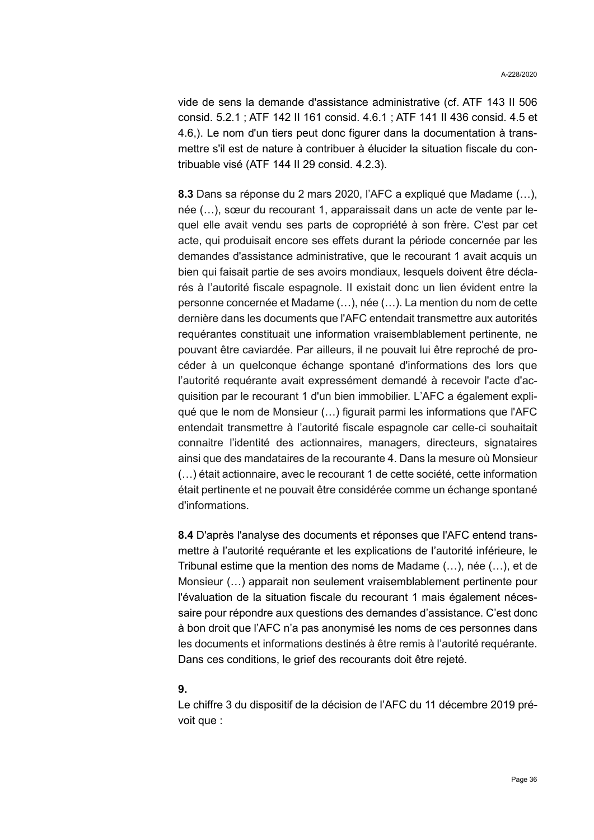vide de sens la demande d'assistance administrative (cf. ATF 143 II 506 consid. 5.2.1 ; ATF 142 II 161 consid. 4.6.1 ; ATF 141 II 436 consid. 4.5 et 4.6,). Le nom d'un tiers peut donc figurer dans la documentation à transmettre s'il est de nature à contribuer à élucider la situation fiscale du contribuable visé (ATF 144 II 29 consid. 4.2.3).

**8.3** Dans sa réponse du 2 mars 2020, l'AFC a expliqué que Madame (…), née (…), sœur du recourant 1, apparaissait dans un acte de vente par lequel elle avait vendu ses parts de copropriété à son frère. C'est par cet acte, qui produisait encore ses effets durant la période concernée par les demandes d'assistance administrative, que le recourant 1 avait acquis un bien qui faisait partie de ses avoirs mondiaux, lesquels doivent être déclarés à l'autorité fiscale espagnole. II existait donc un lien évident entre la personne concernée et Madame (…), née (…). La mention du nom de cette dernière dans les documents que l'AFC entendait transmettre aux autorités requérantes constituait une information vraisemblablement pertinente, ne pouvant être caviardée. Par ailleurs, il ne pouvait lui être reproché de procéder à un quelconque échange spontané d'informations des lors que l'autorité requérante avait expressément demandé à recevoir l'acte d'acquisition par le recourant 1 d'un bien immobilier. L'AFC a également expliqué que le nom de Monsieur (…) figurait parmi les informations que l'AFC entendait transmettre à l'autorité fiscale espagnole car celle-ci souhaitait connaitre l'identité des actionnaires, managers, directeurs, signataires ainsi que des mandataires de la recourante 4. Dans la mesure où Monsieur (…) était actionnaire, avec le recourant 1 de cette société, cette information était pertinente et ne pouvait être considérée comme un échange spontané d'informations.

**8.4** D'après l'analyse des documents et réponses que l'AFC entend transmettre à l'autorité requérante et les explications de l'autorité inférieure, le Tribunal estime que la mention des noms de Madame (…), née (…), et de Monsieur (…) apparait non seulement vraisemblablement pertinente pour l'évaluation de la situation fiscale du recourant 1 mais également nécessaire pour répondre aux questions des demandes d'assistance. C'est donc à bon droit que l'AFC n'a pas anonymisé les noms de ces personnes dans les documents et informations destinés à être remis à l'autorité requérante. Dans ces conditions, le grief des recourants doit être rejeté.

#### **9.**

Le chiffre 3 du dispositif de la décision de l'AFC du 11 décembre 2019 prévoit que :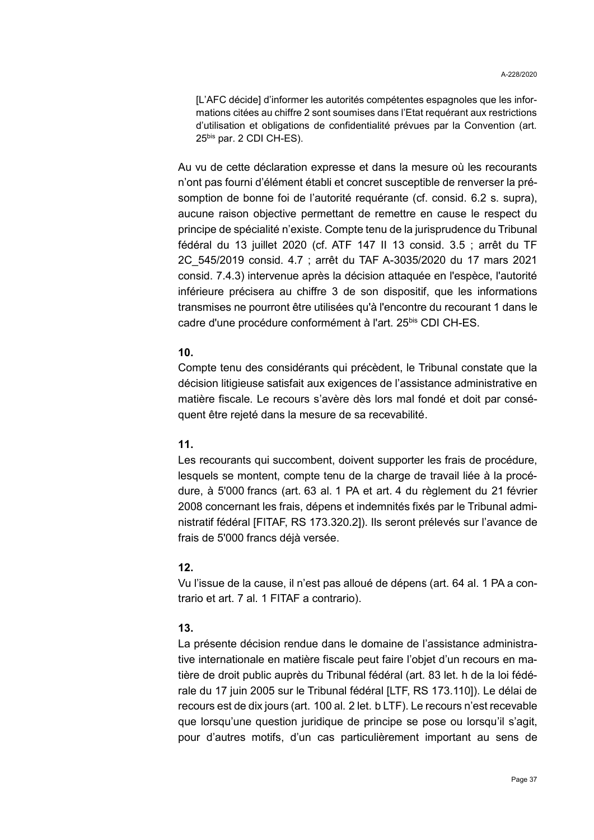[L'AFC décide] d'informer les autorités compétentes espagnoles que les informations citées au chiffre 2 sont soumises dans l'Etat requérant aux restrictions d'utilisation et obligations de confidentialité prévues par la Convention (art. 25bis par. 2 CDI CH-ES).

Au vu de cette déclaration expresse et dans la mesure où les recourants n'ont pas fourni d'élément établi et concret susceptible de renverser la présomption de bonne foi de l'autorité requérante (cf. consid. [6.2](#page-31-0) s. supra), aucune raison objective permettant de remettre en cause le respect du principe de spécialité n'existe. Compte tenu de la jurisprudence du Tribunal fédéral du 13 juillet 2020 (cf. ATF 147 II 13 consid. 3.5 ; arrêt du TF 2C\_545/2019 consid. 4.7 ; arrêt du TAF A-3035/2020 du 17 mars 2021 consid. 7.4.3) intervenue après la décision attaquée en l'espèce, l'autorité inférieure précisera au chiffre 3 de son dispositif, que les informations transmises ne pourront être utilisées qu'à l'encontre du recourant 1 dans le cadre d'une procédure conformément à l'art. 25bis CDI CH-ES.

### **10.**

Compte tenu des considérants qui précèdent, le Tribunal constate que la décision litigieuse satisfait aux exigences de l'assistance administrative en matière fiscale. Le recours s'avère dès lors mal fondé et doit par conséquent être rejeté dans la mesure de sa recevabilité.

### **11.**

Les recourants qui succombent, doivent supporter les frais de procédure, lesquels se montent, compte tenu de la charge de travail liée à la procédure, à 5'000 francs (art. 63 al. 1 PA et art. 4 du règlement du 21 février 2008 concernant les frais, dépens et indemnités fixés par le Tribunal administratif fédéral [FITAF, RS 173.320.2]). Ils seront prélevés sur l'avance de frais de 5'000 francs déjà versée.

### **12.**

Vu l'issue de la cause, il n'est pas alloué de dépens (art. 64 al. 1 PA a contrario et art. 7 al. 1 FITAF a contrario).

### **13.**

La présente décision rendue dans le domaine de l'assistance administrative internationale en matière fiscale peut faire l'objet d'un recours en matière de droit public auprès du Tribunal fédéral (art. 83 let. h de la loi fédérale du 17 juin 2005 sur le Tribunal fédéral [LTF, RS 173.110]). Le délai de recours est de dix jours (art. 100 al. 2 let. b LTF). Le recours n'est recevable que lorsqu'une question juridique de principe se pose ou lorsqu'il s'agit, pour d'autres motifs, d'un cas particulièrement important au sens de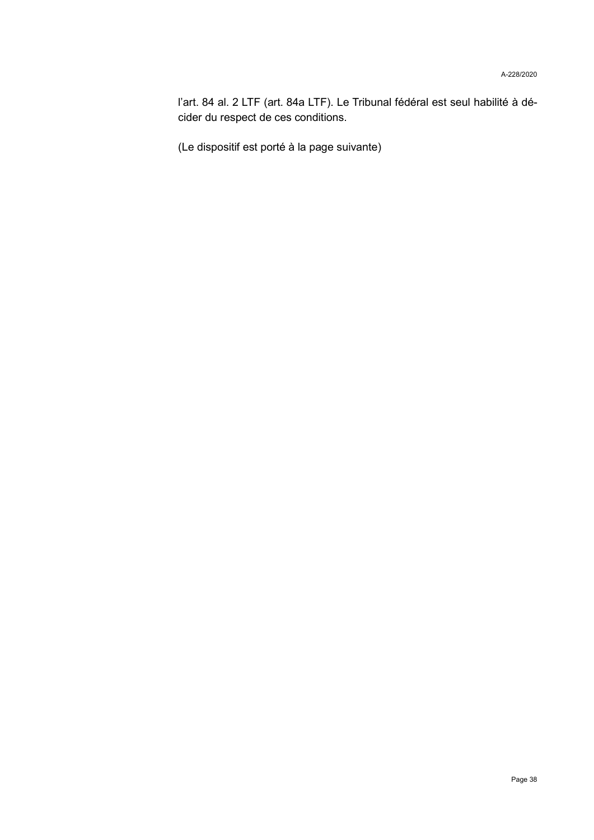l'art. 84 al. 2 LTF (art. 84a LTF). Le Tribunal fédéral est seul habilité à décider du respect de ces conditions.

(Le dispositif est porté à la page suivante)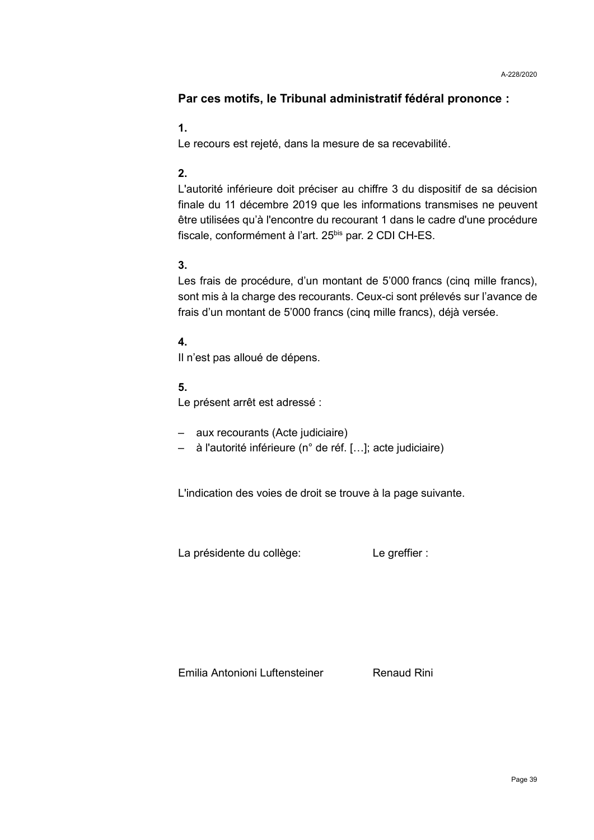# **Par ces motifs, le Tribunal administratif fédéral prononce :**

## **1.**

Le recours est rejeté, dans la mesure de sa recevabilité.

# **2.**

L'autorité inférieure doit préciser au chiffre 3 du dispositif de sa décision finale du 11 décembre 2019 que les informations transmises ne peuvent être utilisées qu'à l'encontre du recourant 1 dans le cadre d'une procédure fiscale, conformément à l'art. 25<sup>bis</sup> par. 2 CDI CH-ES.

# **3.**

Les frais de procédure, d'un montant de 5'000 francs (cinq mille francs), sont mis à la charge des recourants. Ceux-ci sont prélevés sur l'avance de frais d'un montant de 5'000 francs (cinq mille francs), déjà versée.

# **4.**

Il n'est pas alloué de dépens.

# **5.**

Le présent arrêt est adressé :

- aux recourants (Acte judiciaire)
- à l'autorité inférieure (n° de réf. […]; acte judiciaire)

L'indication des voies de droit se trouve à la page suivante.

La présidente du collège: Le greffier :

Emilia Antonioni Luftensteiner Renaud Rini